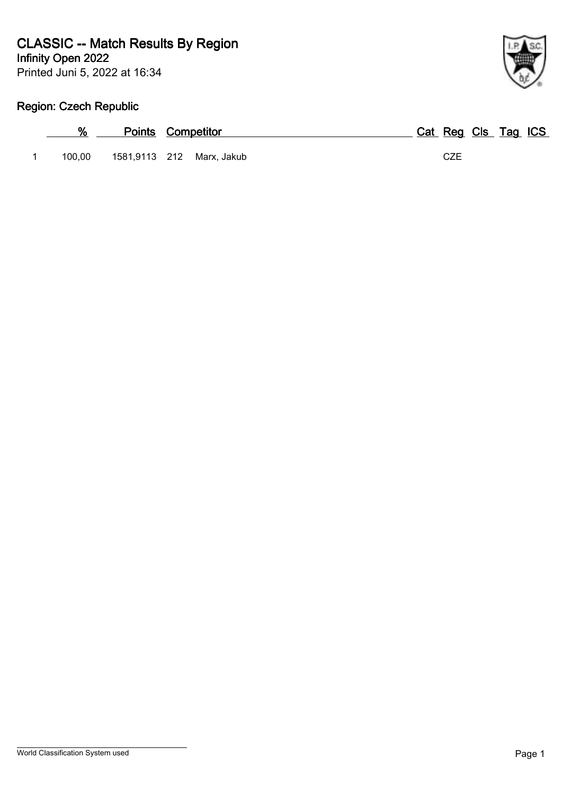Printed Juni 5, 2022 at 16:34



# **Region: Czech Republic**

| %      | <b>Points Competitor</b>  |            | Cat Reg Cls Tag ICS |
|--------|---------------------------|------------|---------------------|
| 100.00 | 1581,9113 212 Marx, Jakub | <b>CZE</b> |                     |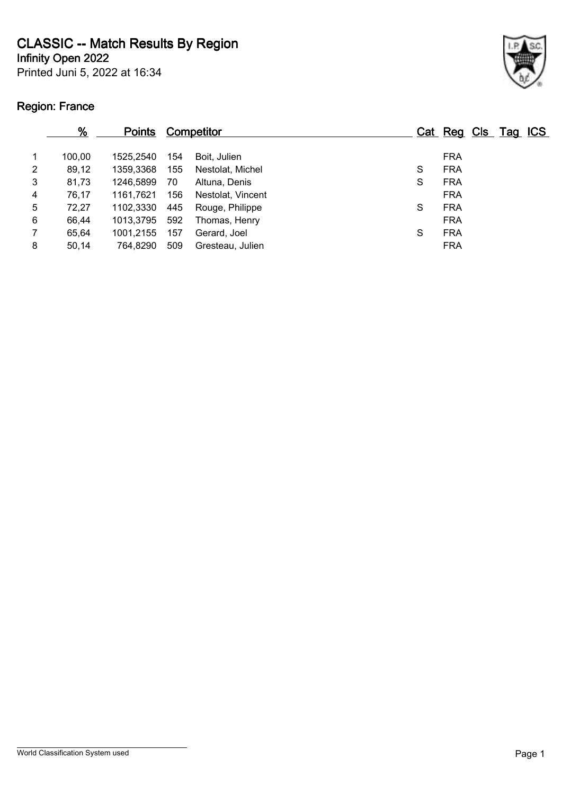**CLASSIC -- Match Results By Region**

**Infinity Open 2022**

Printed Juni 5, 2022 at 16:34

# **Region: France**



|   | $\frac{9}{6}$ | <b>Points</b> |     | Competitor        |   | Cat Reg Cls Tag ICS |  |  |
|---|---------------|---------------|-----|-------------------|---|---------------------|--|--|
|   | 100,00        | 1525.2540     | 154 | Boit, Julien      |   | <b>FRA</b>          |  |  |
| 2 | 89,12         | 1359,3368     | 155 | Nestolat, Michel  | S | <b>FRA</b>          |  |  |
| 3 | 81,73         | 1246,5899     | 70  | Altuna, Denis     | S | <b>FRA</b>          |  |  |
| 4 | 76,17         | 1161.7621     | 156 | Nestolat, Vincent |   | <b>FRA</b>          |  |  |
| 5 | 72,27         | 1102.3330     | 445 | Rouge, Philippe   | S | <b>FRA</b>          |  |  |
| 6 | 66,44         | 1013.3795     | 592 | Thomas, Henry     |   | <b>FRA</b>          |  |  |
| 7 | 65,64         | 1001.2155     | 157 | Gerard, Joel      | S | <b>FRA</b>          |  |  |
| 8 | 50,14         | 764,8290      | 509 | Gresteau, Julien  |   | <b>FRA</b>          |  |  |
|   |               |               |     |                   |   |                     |  |  |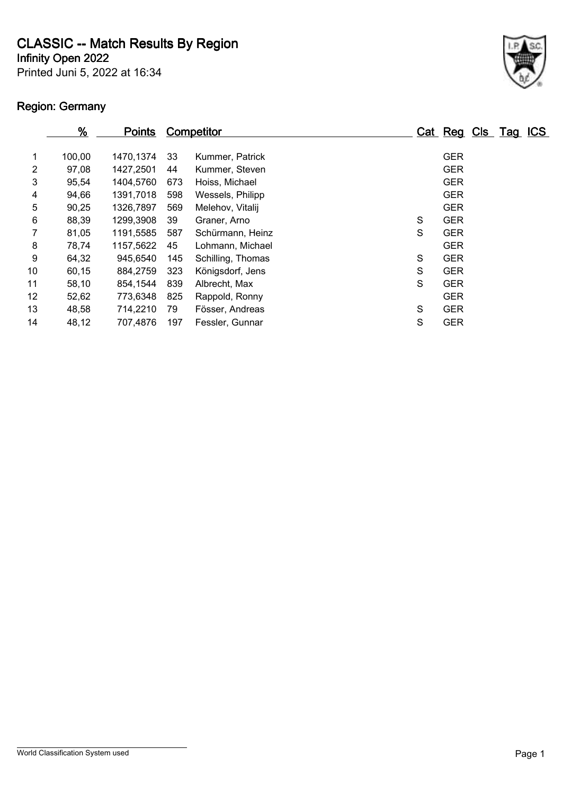**CLASSIC -- Match Results By Region**

**Infinity Open 2022**

Printed Juni 5, 2022 at 16:34

# **Region: Germany**



|    | $\frac{9}{6}$ | <b>Points</b> |     | <b>Competitor</b> |   | Cat Reg Cls Tag |  | <u>ICS</u> |
|----|---------------|---------------|-----|-------------------|---|-----------------|--|------------|
| 1  | 100,00        | 1470,1374     | 33  | Kummer, Patrick   |   | <b>GER</b>      |  |            |
| 2  | 97,08         | 1427,2501     | 44  | Kummer, Steven    |   | <b>GER</b>      |  |            |
| 3  | 95,54         | 1404,5760     | 673 | Hoiss, Michael    |   | <b>GER</b>      |  |            |
| 4  | 94,66         | 1391,7018     | 598 | Wessels, Philipp  |   | <b>GER</b>      |  |            |
| 5  | 90,25         | 1326,7897     | 569 | Melehov, Vitalij  |   | <b>GER</b>      |  |            |
| 6  | 88,39         | 1299,3908     | 39  | Graner, Arno      | S | <b>GER</b>      |  |            |
|    | 81,05         | 1191,5585     | 587 | Schürmann, Heinz  | S | <b>GER</b>      |  |            |
| 8  | 78,74         | 1157,5622     | 45  | Lohmann, Michael  |   | <b>GER</b>      |  |            |
| 9  | 64,32         | 945,6540      | 145 | Schilling, Thomas | S | <b>GER</b>      |  |            |
| 10 | 60,15         | 884,2759      | 323 | Königsdorf, Jens  | S | <b>GER</b>      |  |            |
| 11 | 58,10         | 854,1544      | 839 | Albrecht, Max     | S | <b>GER</b>      |  |            |
| 12 | 52,62         | 773,6348      | 825 | Rappold, Ronny    |   | <b>GER</b>      |  |            |
| 13 | 48,58         | 714,2210      | 79  | Fösser, Andreas   | S | <b>GER</b>      |  |            |
| 14 | 48,12         | 707,4876      | 197 | Fessler, Gunnar   | S | <b>GER</b>      |  |            |
|    |               |               |     |                   |   |                 |  |            |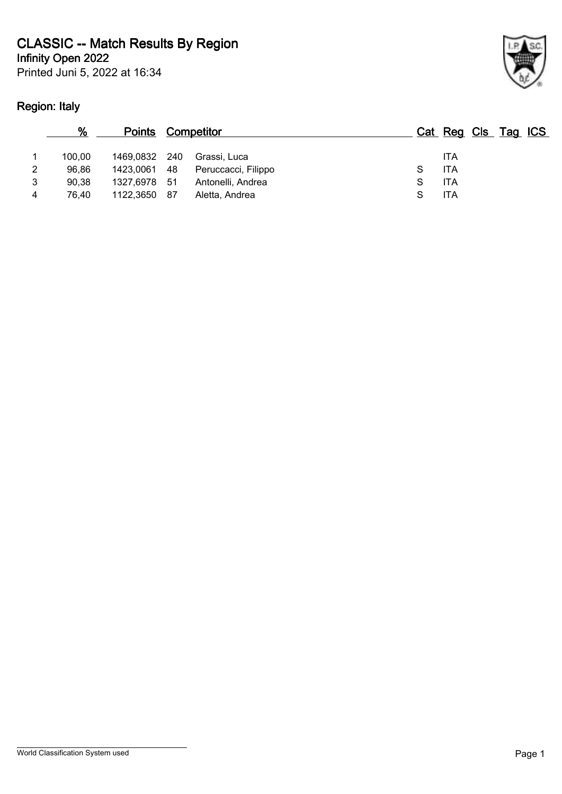Printed Juni 5, 2022 at 16:34

# **Region: Italy**



|   | %      | <b>Points Competitor</b> |     |                     |   | Cat Reg Cls Tag ICS |  |  |
|---|--------|--------------------------|-----|---------------------|---|---------------------|--|--|
|   | 100.00 | 1469,0832                | 240 | Grassi, Luca        |   | ITA                 |  |  |
| 2 | 96.86  | 1423,0061 48             |     | Peruccacci, Filippo |   | ITA                 |  |  |
| 3 | 90.38  | 1327,6978 51             |     | Antonelli, Andrea   | S | <b>ITA</b>          |  |  |
| 4 | 76.40  | 1122,3650                | 87  | Aletta, Andrea      |   | ITA                 |  |  |
|   |        |                          |     |                     |   |                     |  |  |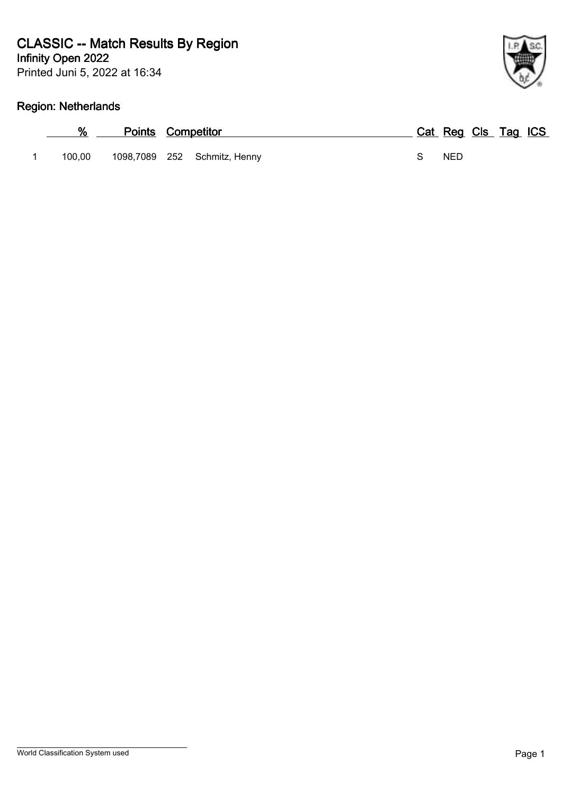Printed Juni 5, 2022 at 16:34

# **Region: Netherlands**

| %      | <b>Points Competitor</b> |                              |  | Cat Reg Cls Tag ICS |  |  |
|--------|--------------------------|------------------------------|--|---------------------|--|--|
| 100.00 |                          | 1098,7089 252 Schmitz, Henny |  | <b>NED</b>          |  |  |

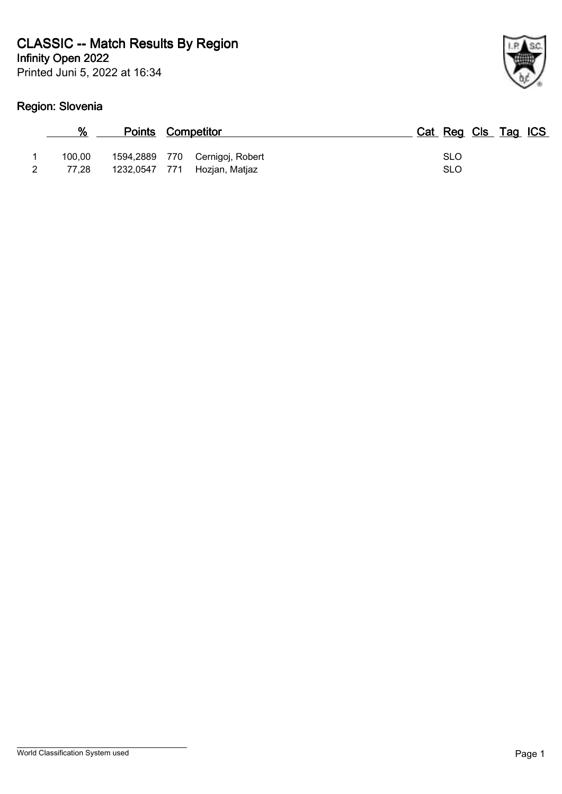Printed Juni 5, 2022 at 16:34

# **Region: Slovenia**

| %               |               | Points Competitor                                | Cat Reg Cls Tag ICS      |
|-----------------|---------------|--------------------------------------------------|--------------------------|
| 100.00<br>77.28 | 1232,0547 771 | 1594,2889 770 Cernigoj, Robert<br>Hozjan, Matjaz | <b>SLO</b><br><b>SLO</b> |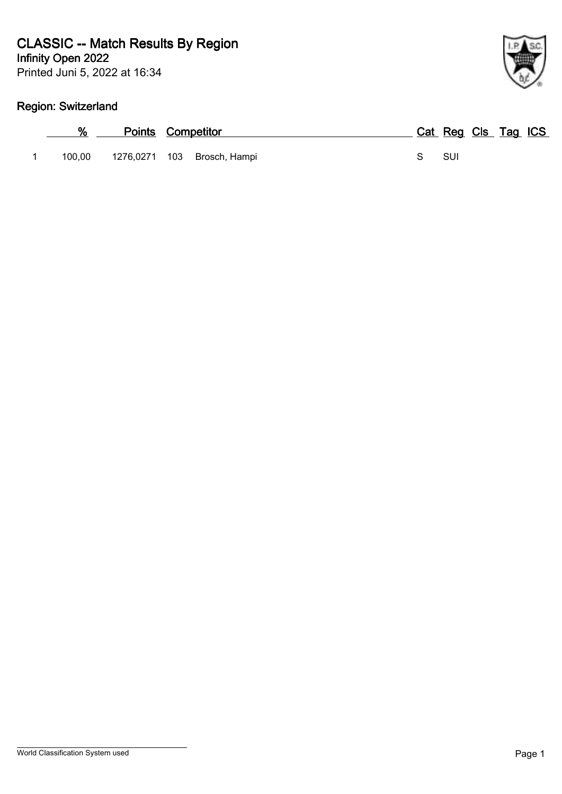Printed Juni 5, 2022 at 16:34

# **Region: Switzerland**

|        | <b>Points Competitor</b> |                             |  | Cat Reg Cls Tag ICS |  |  |
|--------|--------------------------|-----------------------------|--|---------------------|--|--|
| 100.00 |                          | 1276,0271 103 Brosch, Hampi |  | <b>SUI</b>          |  |  |

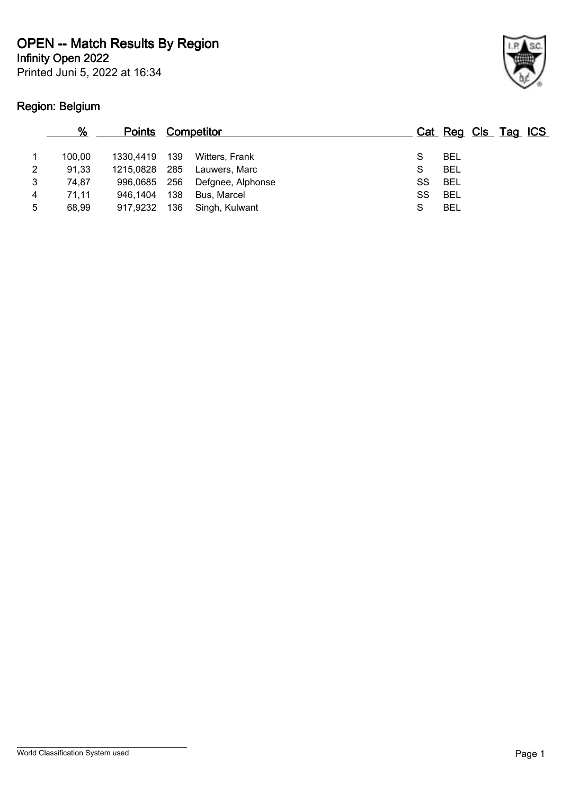**Infinity Open 2022**

Printed Juni 5, 2022 at 16:34

# **Region: Belgium**



|   | %      | <b>Points</b> |     | <b>Competitor</b> |    | Cat Reg Cls Tag ICS |  |  |
|---|--------|---------------|-----|-------------------|----|---------------------|--|--|
|   | 100.00 | 1330.4419     | 139 | Witters, Frank    |    | <b>BEL</b>          |  |  |
| 2 | 91,33  | 1215.0828     | 285 | Lauwers, Marc     |    | <b>BEL</b>          |  |  |
| 3 | 74.87  | 996,0685 256  |     | Defgnee, Alphonse | SS | <b>BEL</b>          |  |  |
| 4 | 71.11  | 946.1404      | 138 | Bus, Marcel       | SS | <b>BEL</b>          |  |  |
| 5 | 68.99  | 917,9232      | 136 | Singh, Kulwant    |    | <b>BEL</b>          |  |  |
|   |        |               |     |                   |    |                     |  |  |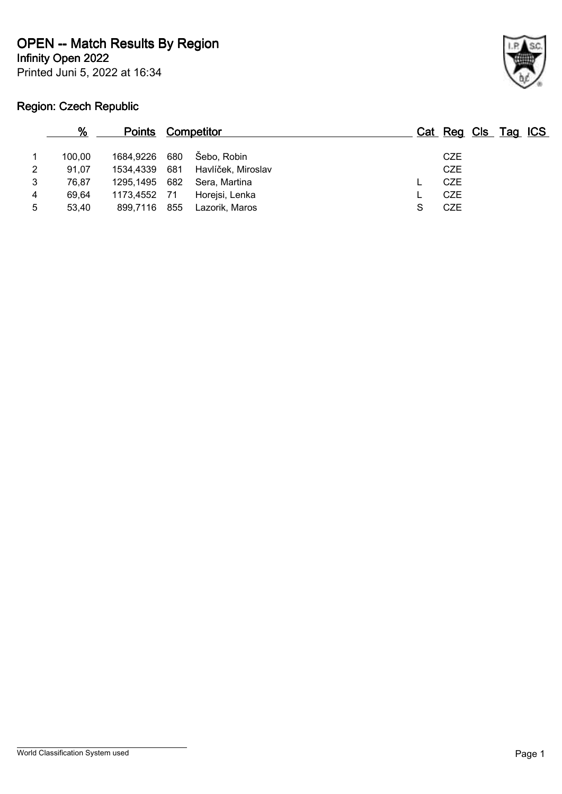**Infinity Open 2022**

Printed Juni 5, 2022 at 16:34



# **Region: Czech Republic**

|   | %      | <b>Points Competitor</b> |                                  |   | Cat Reg Cls Tag ICS |  |
|---|--------|--------------------------|----------------------------------|---|---------------------|--|
|   | 100.00 | 1684,9226 680            | Šebo, Robin                      |   | <b>CZE</b>          |  |
| 2 | 91.07  |                          | 1534,4339 681 Havlíček, Miroslav |   | <b>CZE</b>          |  |
| 3 | 76.87  | 1295,1495 682            | Sera, Martina                    |   | <b>CZE</b>          |  |
| 4 | 69.64  | 1173,4552 71             | Horejsi, Lenka                   |   | <b>CZE</b>          |  |
| 5 | 53.40  | 899,7116 855             | Lazorik, Maros                   | S | <b>CZE</b>          |  |
|   |        |                          |                                  |   |                     |  |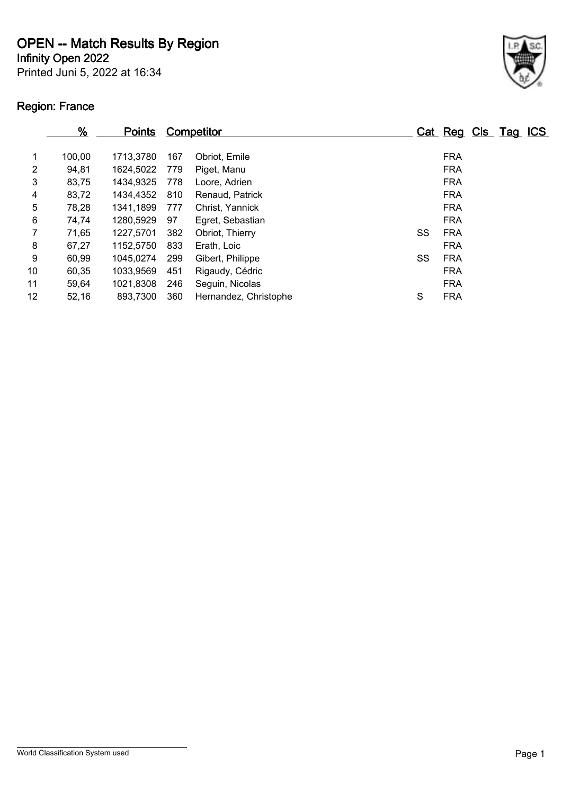**Infinity Open 2022**

Printed Juni 5, 2022 at 16:34

# **Region: France**



| $\frac{9}{6}$ | <b>Points</b> |     |                       |                   |               |  | <u>ICS</u>      |
|---------------|---------------|-----|-----------------------|-------------------|---------------|--|-----------------|
| 100,00        | 1713,3780     | 167 | Obriot, Emile         |                   | <b>FRA</b>    |  |                 |
| 94,81         | 1624,5022     | 779 | Piget, Manu           |                   | <b>FRA</b>    |  |                 |
| 83,75         | 1434,9325     | 778 | Loore, Adrien         |                   | <b>FRA</b>    |  |                 |
| 83,72         | 1434,4352     | 810 | Renaud, Patrick       |                   | <b>FRA</b>    |  |                 |
| 78,28         | 1341,1899     | 777 | Christ, Yannick       |                   | <b>FRA</b>    |  |                 |
| 74,74         | 1280,5929     | 97  | Egret, Sebastian      |                   | <b>FRA</b>    |  |                 |
| 71,65         | 1227,5701     | 382 | Obriot, Thierry       |                   | <b>FRA</b>    |  |                 |
| 67,27         | 1152,5750     | 833 | Erath, Loic           |                   | <b>FRA</b>    |  |                 |
| 60,99         | 1045,0274     | 299 | Gibert, Philippe      |                   | <b>FRA</b>    |  |                 |
| 60,35         | 1033,9569     | 451 | Rigaudy, Cédric       |                   | <b>FRA</b>    |  |                 |
| 59,64         | 1021,8308     | 246 | Seguin, Nicolas       |                   | <b>FRA</b>    |  |                 |
| 52,16         | 893,7300      | 360 | Hernandez, Christophe |                   | <b>FRA</b>    |  |                 |
|               |               |     |                       | <b>Competitor</b> | SS<br>SS<br>S |  | Cat Reg Cls Tag |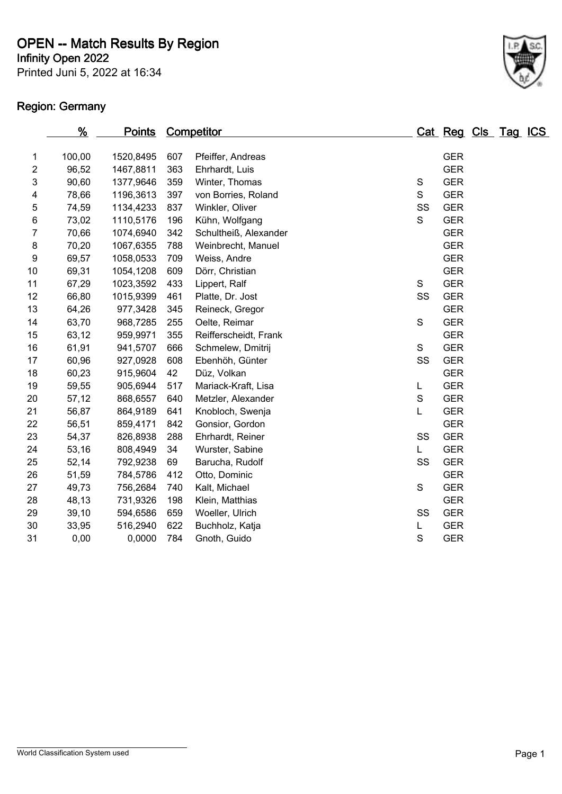Printed Juni 5, 2022 at 16:34 **Infinity Open 2022**

# **Region: Germany**



|                         | %      | <u>Points</u> |     | Competitor            |               | Cat Reg Cls Tag ICS |  |  |
|-------------------------|--------|---------------|-----|-----------------------|---------------|---------------------|--|--|
|                         |        |               |     |                       |               |                     |  |  |
| 1                       | 100,00 | 1520,8495     | 607 | Pfeiffer, Andreas     |               | <b>GER</b>          |  |  |
| $\mathbf{2}$            | 96,52  | 1467,8811     | 363 | Ehrhardt, Luis        |               | <b>GER</b>          |  |  |
| 3                       | 90,60  | 1377,9646     | 359 | Winter, Thomas        | ${\mathsf S}$ | <b>GER</b>          |  |  |
| $\overline{\mathbf{4}}$ | 78,66  | 1196,3613     | 397 | von Borries, Roland   | S             | <b>GER</b>          |  |  |
| 5                       | 74,59  | 1134,4233     | 837 | Winkler, Oliver       | SS            | <b>GER</b>          |  |  |
| 6                       | 73,02  | 1110,5176     | 196 | Kühn, Wolfgang        | S             | <b>GER</b>          |  |  |
| $\boldsymbol{7}$        | 70,66  | 1074,6940     | 342 | Schultheiß, Alexander |               | <b>GER</b>          |  |  |
| $\bf 8$                 | 70,20  | 1067,6355     | 788 | Weinbrecht, Manuel    |               | <b>GER</b>          |  |  |
| 9                       | 69,57  | 1058,0533     | 709 | Weiss, Andre          |               | <b>GER</b>          |  |  |
| 10                      | 69,31  | 1054,1208     | 609 | Dörr, Christian       |               | <b>GER</b>          |  |  |
| 11                      | 67,29  | 1023,3592     | 433 | Lippert, Ralf         | S             | <b>GER</b>          |  |  |
| 12                      | 66,80  | 1015,9399     | 461 | Platte, Dr. Jost      | SS            | <b>GER</b>          |  |  |
| 13                      | 64,26  | 977,3428      | 345 | Reineck, Gregor       |               | <b>GER</b>          |  |  |
| 14                      | 63,70  | 968,7285      | 255 | Oelte, Reimar         | ${\mathsf S}$ | <b>GER</b>          |  |  |
| 15                      | 63,12  | 959,9971      | 355 | Reifferscheidt, Frank |               | <b>GER</b>          |  |  |
| 16                      | 61,91  | 941,5707      | 666 | Schmelew, Dmitrij     | $\mathsf S$   | <b>GER</b>          |  |  |
| 17                      | 60,96  | 927,0928      | 608 | Ebenhöh, Günter       | SS            | <b>GER</b>          |  |  |
| 18                      | 60,23  | 915,9604      | 42  | Düz, Volkan           |               | <b>GER</b>          |  |  |
| 19                      | 59,55  | 905,6944      | 517 | Mariack-Kraft, Lisa   | L             | <b>GER</b>          |  |  |
| 20                      | 57,12  | 868,6557      | 640 | Metzler, Alexander    | ${\mathsf S}$ | <b>GER</b>          |  |  |
| 21                      | 56,87  | 864,9189      | 641 | Knobloch, Swenja      | L             | <b>GER</b>          |  |  |
| 22                      | 56,51  | 859,4171      | 842 | Gonsior, Gordon       |               | <b>GER</b>          |  |  |
| 23                      | 54,37  | 826,8938      | 288 | Ehrhardt, Reiner      | SS            | <b>GER</b>          |  |  |
| 24                      | 53,16  | 808,4949      | 34  | Wurster, Sabine       | L.            | <b>GER</b>          |  |  |
| 25                      | 52,14  | 792,9238      | 69  | Barucha, Rudolf       | SS            | <b>GER</b>          |  |  |
| 26                      | 51,59  | 784,5786      | 412 | Otto, Dominic         |               | <b>GER</b>          |  |  |
| 27                      | 49,73  | 756,2684      | 740 | Kalt, Michael         | $\mathbf S$   | <b>GER</b>          |  |  |
| 28                      | 48,13  | 731,9326      | 198 | Klein, Matthias       |               | <b>GER</b>          |  |  |
| 29                      | 39,10  | 594,6586      | 659 | Woeller, Ulrich       | SS            | <b>GER</b>          |  |  |
| 30                      | 33,95  | 516,2940      | 622 | Buchholz, Katja       | L             | <b>GER</b>          |  |  |
| 31                      | 0,00   | 0,0000        | 784 | Gnoth, Guido          | S             | <b>GER</b>          |  |  |
|                         |        |               |     |                       |               |                     |  |  |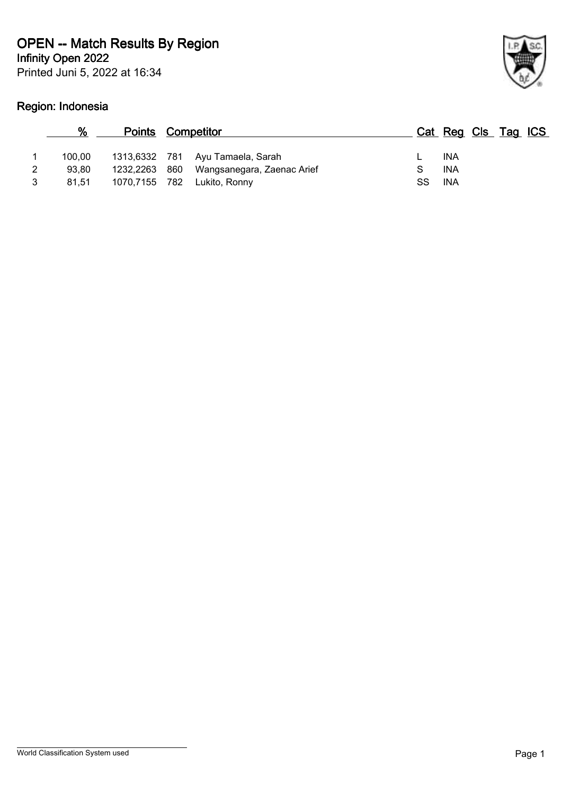Printed Juni 5, 2022 at 16:34 **Infinity Open 2022**

# **Region: Indonesia**



| %      | <b>Points Competitor</b> |                                  |    | Cat Reg Cls Tag ICS |  |  |
|--------|--------------------------|----------------------------------|----|---------------------|--|--|
| 100.00 |                          | 1313,6332 781 Ayu Tamaela, Sarah |    | INA                 |  |  |
| 93.80  | 1232,2263 860            | Wangsanegara, Zaenac Arief       |    | INA                 |  |  |
| 81.51  | 1070,7155 782            | Lukito, Ronny                    | SS | INA                 |  |  |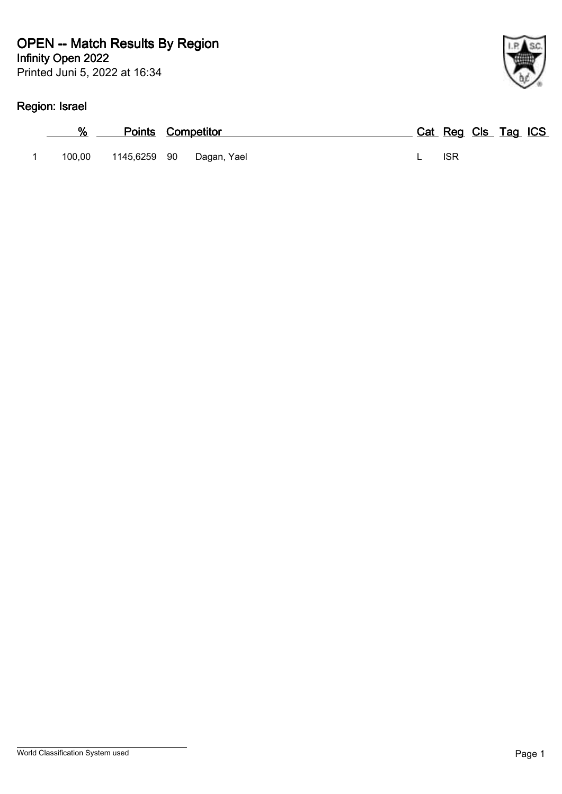# **Region: Israel**

| %      |              | <b>Points Competitor</b> |            | Cat Reg Cls Tag ICS |
|--------|--------------|--------------------------|------------|---------------------|
| 100.00 | 1145,6259 90 | Dagan, Yael              | <b>ISR</b> |                     |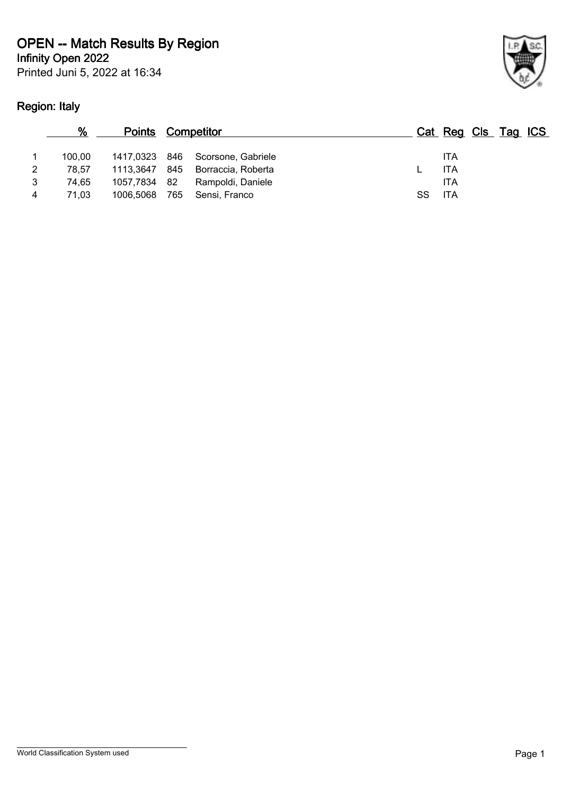Printed Juni 5, 2022 at 16:34

# **Region: Italy**



|   | %      | <b>Points Competitor</b> |     |                                  |     | Cat Reg Cls Tag ICS |  |  |
|---|--------|--------------------------|-----|----------------------------------|-----|---------------------|--|--|
|   | 100.00 |                          |     | 1417,0323 846 Scorsone, Gabriele |     | <b>ITA</b>          |  |  |
| 2 | 78.57  | 1113,3647 845            |     | Borraccia, Roberta               |     | ITA                 |  |  |
| 3 | 74.65  | 1057,7834 82             |     | Rampoldi, Daniele                |     | ITA                 |  |  |
| 4 | 71.03  | 1006,5068                | 765 | Sensi, Franco                    | SS. | <b>ITA</b>          |  |  |
|   |        |                          |     |                                  |     |                     |  |  |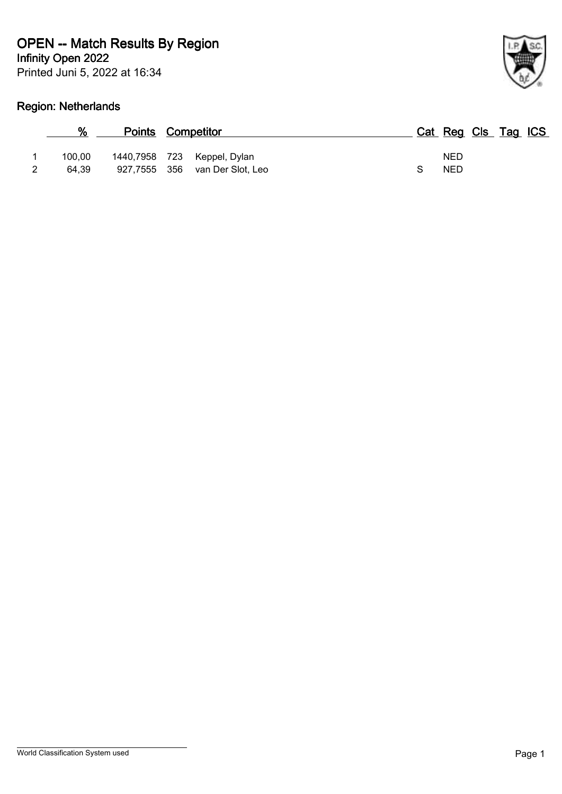Printed Juni 5, 2022 at 16:34 **Infinity Open 2022**

# **Region: Netherlands**

| %               | <b>Points Competitor</b> |                                                               | Cat Reg Cls Tag ICS      |  |  |
|-----------------|--------------------------|---------------------------------------------------------------|--------------------------|--|--|
| 100.00<br>64.39 |                          | 1440,7958 723 Keppel, Dylan<br>927,7555 356 van Der Slot, Leo | <b>NED</b><br><b>NED</b> |  |  |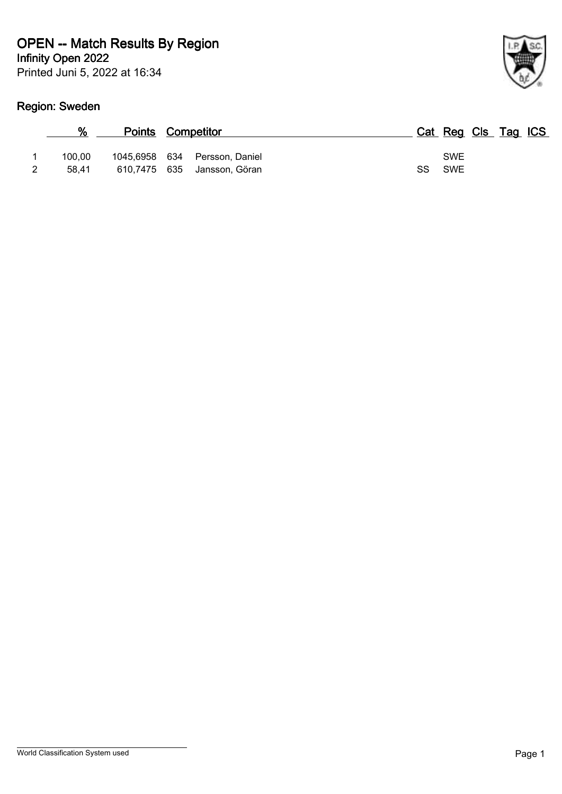Printed Juni 5, 2022 at 16:34

# **Region: Sweden**

| %               | <b>Points Competitor</b>      |                                   |  |                      | Cat Reg Cls Tag ICS |  |
|-----------------|-------------------------------|-----------------------------------|--|----------------------|---------------------|--|
| 100.00<br>58.41 | 1045,6958 634<br>610,7475 635 | Persson, Daniel<br>Jansson, Göran |  | <b>SWE</b><br>SS SWE |                     |  |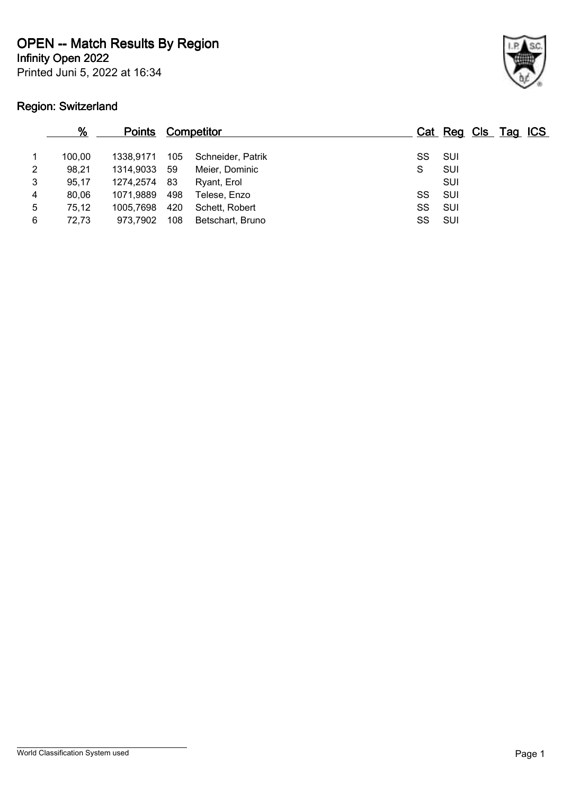**Infinity Open 2022**

Printed Juni 5, 2022 at 16:34

# **Region: Switzerland**



|   | <u>%</u> | <u>Points</u> |      | <b>Competitor</b> |        | Cat Reg Cls Tag ICS |  |  |
|---|----------|---------------|------|-------------------|--------|---------------------|--|--|
|   | 100.00   | 1338.9171     | 105  | Schneider, Patrik | SS     | – SUI               |  |  |
| 2 | 98,21    | 1314,9033     | - 59 | Meier, Dominic    | S      | SUI                 |  |  |
| 3 | 95,17    | 1274,2574     | - 83 | Ryant, Erol       |        | SUI                 |  |  |
| 4 | 80,06    | 1071,9889     | 498  | Telese, Enzo      | SS     | – SUI               |  |  |
| 5 | 75,12    | 1005.7698     | 420  | Schett, Robert    | SS     | – SUI               |  |  |
| 6 | 72,73    | 973.7902      | 108  | Betschart, Bruno  | SS SUI |                     |  |  |
|   |          |               |      |                   |        |                     |  |  |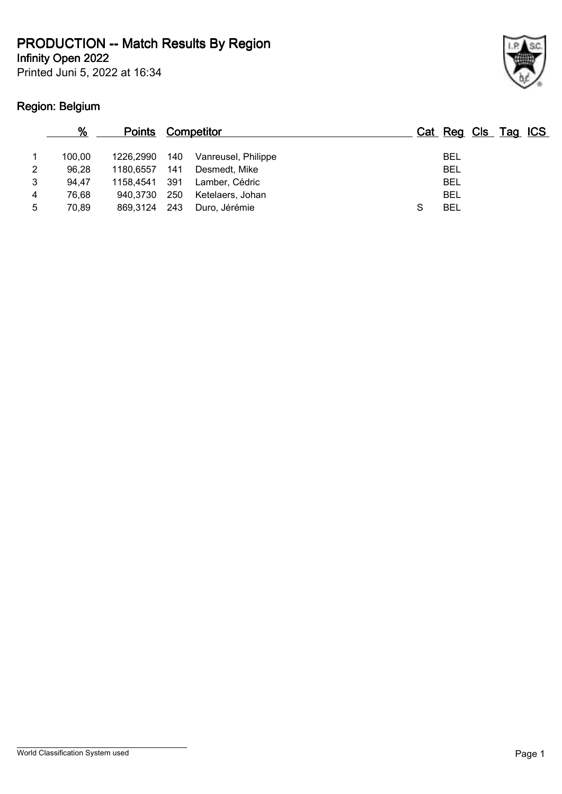**Infinity Open 2022**

Printed Juni 5, 2022 at 16:34

# **Region: Belgium**



|   | %      | <b>Points</b> |     | <b>Competitor</b>   |   | Cat Reg Cls Tag ICS |  |  |
|---|--------|---------------|-----|---------------------|---|---------------------|--|--|
|   | 100.00 | 1226.2990     | 140 | Vanreusel, Philippe |   | <b>BEL</b>          |  |  |
| 2 | 96.28  | 1180.6557     | 141 | Desmedt, Mike       |   | <b>BEL</b>          |  |  |
| 3 | 94.47  | 1158.4541     | 391 | Lamber, Cédric      |   | <b>BEL</b>          |  |  |
| 4 | 76.68  | 940.3730      | 250 | Ketelaers, Johan    |   | <b>BEL</b>          |  |  |
| 5 | 70.89  | 869.3124      | 243 | Duro, Jérémie       | S | <b>BEL</b>          |  |  |
|   |        |               |     |                     |   |                     |  |  |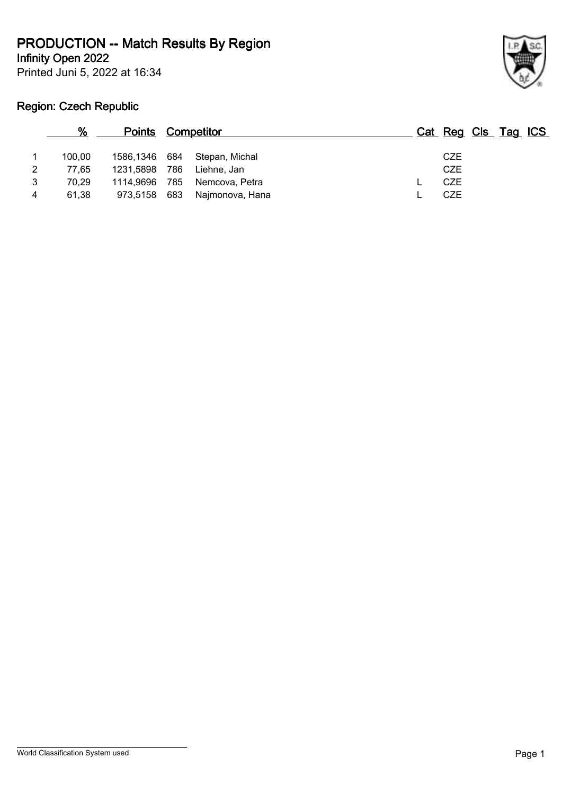**Infinity Open 2022**

Printed Juni 5, 2022 at 16:34



#### **Region: Czech Republic**

| 100.00 |     | Stepan, Michal         |                                                                           | <b>CZE</b> |                     |
|--------|-----|------------------------|---------------------------------------------------------------------------|------------|---------------------|
| 77.65  | 786 | Liehne. Jan            |                                                                           | <b>CZE</b> |                     |
| 70.29  | 785 | Nemcova, Petra         |                                                                           | <b>CZE</b> |                     |
| 61.38  |     |                        |                                                                           | CZE        |                     |
|        |     | 1231,5898<br>1114.9696 | <b>Points Competitor</b><br>1586,1346 684<br>973,5158 683 Najmonova, Hana |            | Cat Reg Cls Tag ICS |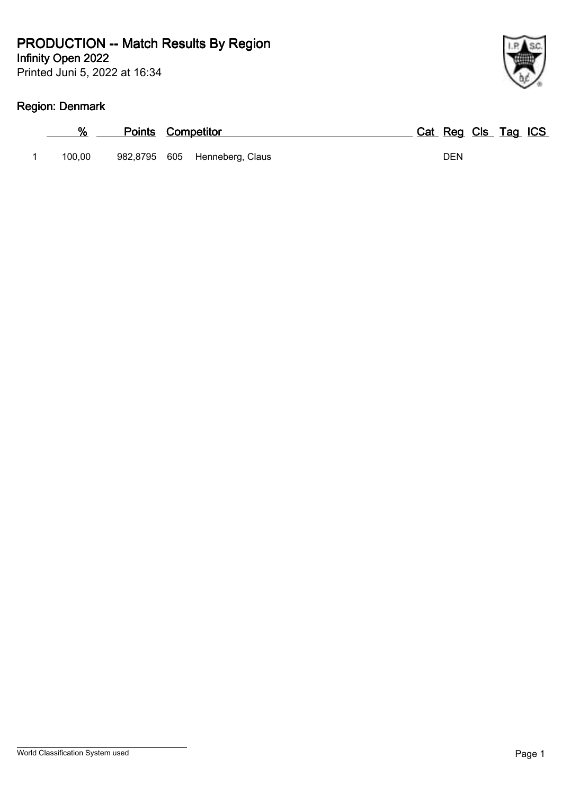Printed Juni 5, 2022 at 16:34

# **Region: Denmark**

|        | <b>Points Competitor</b> |                               | Cat Reg Cls Tag ICS |  |
|--------|--------------------------|-------------------------------|---------------------|--|
| 100.00 |                          | 982,8795 605 Henneberg, Claus | DEN                 |  |

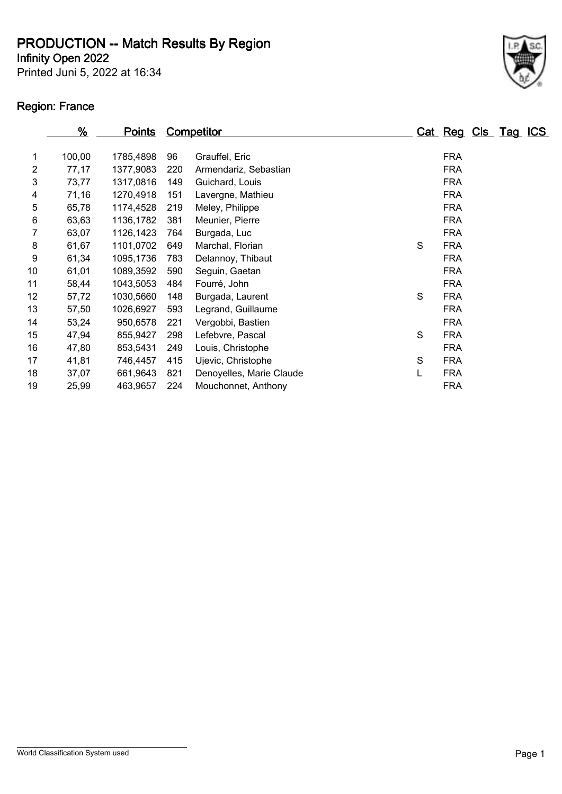**Infinity Open 2022**

Printed Juni 5, 2022 at 16:34

### **Region: France**



|    | %      | <b>Points</b> |     | <b>Competitor</b>        |   |            | Cat Reg Cls Tag ICS |  |
|----|--------|---------------|-----|--------------------------|---|------------|---------------------|--|
| 1  | 100,00 | 1785,4898     | 96  | Grauffel, Eric           |   | <b>FRA</b> |                     |  |
| 2  | 77,17  | 1377,9083     | 220 | Armendariz, Sebastian    |   | <b>FRA</b> |                     |  |
| 3  | 73,77  | 1317,0816     | 149 | Guichard, Louis          |   | <b>FRA</b> |                     |  |
| 4  | 71,16  | 1270,4918     | 151 | Lavergne, Mathieu        |   | <b>FRA</b> |                     |  |
| 5  | 65,78  | 1174,4528     | 219 | Meley, Philippe          |   | <b>FRA</b> |                     |  |
| 6  | 63,63  | 1136,1782     | 381 | Meunier, Pierre          |   | <b>FRA</b> |                     |  |
| 7  | 63,07  | 1126,1423     | 764 | Burgada, Luc             |   | <b>FRA</b> |                     |  |
| 8  | 61,67  | 1101,0702     | 649 | Marchal, Florian         | S | <b>FRA</b> |                     |  |
| 9  | 61,34  | 1095,1736     | 783 | Delannoy, Thibaut        |   | <b>FRA</b> |                     |  |
| 10 | 61,01  | 1089,3592     | 590 | Seguin, Gaetan           |   | <b>FRA</b> |                     |  |
| 11 | 58,44  | 1043,5053     | 484 | Fourré, John             |   | <b>FRA</b> |                     |  |
| 12 | 57,72  | 1030,5660     | 148 | Burgada, Laurent         | S | <b>FRA</b> |                     |  |
| 13 | 57,50  | 1026,6927     | 593 | Legrand, Guillaume       |   | <b>FRA</b> |                     |  |
| 14 | 53,24  | 950,6578      | 221 | Vergobbi, Bastien        |   | <b>FRA</b> |                     |  |
| 15 | 47,94  | 855,9427      | 298 | Lefebvre, Pascal         | S | <b>FRA</b> |                     |  |
| 16 | 47,80  | 853,5431      | 249 | Louis, Christophe        |   | <b>FRA</b> |                     |  |
| 17 | 41,81  | 746,4457      | 415 | Ujevic, Christophe       | S | <b>FRA</b> |                     |  |
| 18 | 37,07  | 661,9643      | 821 | Denoyelles, Marie Claude | L | <b>FRA</b> |                     |  |
| 19 | 25,99  | 463,9657      | 224 | Mouchonnet, Anthony      |   | <b>FRA</b> |                     |  |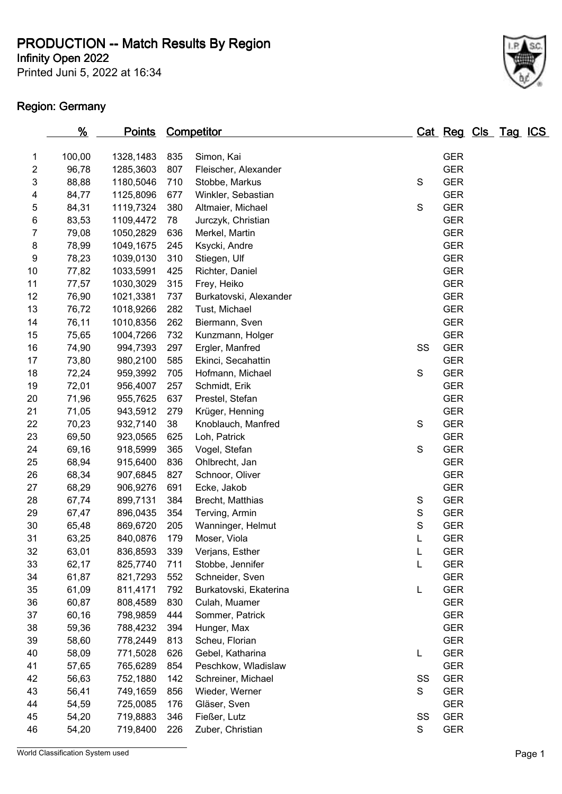**Infinity Open 2022**

Printed Juni 5, 2022 at 16:34

#### **Region: Germany**



|                         | $\frac{9}{6}$ | <u>Points</u> |     | <b>Competitor</b>      |               | Cat Reg Cls Tag ICS |  |  |
|-------------------------|---------------|---------------|-----|------------------------|---------------|---------------------|--|--|
| 1                       | 100,00        | 1328,1483     | 835 | Simon, Kai             |               | <b>GER</b>          |  |  |
| $\overline{\mathbf{c}}$ | 96,78         | 1285,3603     | 807 | Fleischer, Alexander   |               | <b>GER</b>          |  |  |
| 3                       | 88,88         | 1180,5046     | 710 | Stobbe, Markus         | $\mathbf S$   | <b>GER</b>          |  |  |
| 4                       | 84,77         | 1125,8096     | 677 | Winkler, Sebastian     |               | <b>GER</b>          |  |  |
| 5                       | 84,31         | 1119,7324     | 380 | Altmaier, Michael      | S             | <b>GER</b>          |  |  |
| 6                       | 83,53         | 1109,4472     | 78  | Jurczyk, Christian     |               | <b>GER</b>          |  |  |
| 7                       | 79,08         | 1050,2829     | 636 | Merkel, Martin         |               | <b>GER</b>          |  |  |
| 8                       | 78,99         | 1049,1675     | 245 | Ksycki, Andre          |               | <b>GER</b>          |  |  |
| 9                       | 78,23         | 1039,0130     | 310 | Stiegen, Ulf           |               | <b>GER</b>          |  |  |
| 10                      | 77,82         | 1033,5991     | 425 | Richter, Daniel        |               | <b>GER</b>          |  |  |
| 11                      | 77,57         | 1030,3029     | 315 | Frey, Heiko            |               | <b>GER</b>          |  |  |
| 12                      | 76,90         | 1021,3381     | 737 | Burkatovski, Alexander |               | <b>GER</b>          |  |  |
| 13                      | 76,72         | 1018,9266     | 282 | Tust, Michael          |               | <b>GER</b>          |  |  |
| 14                      | 76,11         | 1010,8356     | 262 | Biermann, Sven         |               | <b>GER</b>          |  |  |
| 15                      | 75,65         | 1004,7266     | 732 | Kunzmann, Holger       |               | <b>GER</b>          |  |  |
| 16                      | 74,90         | 994,7393      | 297 | Ergler, Manfred        | SS            | <b>GER</b>          |  |  |
| 17                      | 73,80         | 980,2100      | 585 | Ekinci, Secahattin     |               | <b>GER</b>          |  |  |
| 18                      | 72,24         | 959,3992      | 705 | Hofmann, Michael       | S             | <b>GER</b>          |  |  |
| 19                      | 72,01         | 956,4007      | 257 | Schmidt, Erik          |               | <b>GER</b>          |  |  |
| 20                      | 71,96         | 955,7625      | 637 | Prestel, Stefan        |               | <b>GER</b>          |  |  |
| 21                      | 71,05         | 943,5912      | 279 | Krüger, Henning        |               | <b>GER</b>          |  |  |
| 22                      | 70,23         | 932,7140      | 38  | Knoblauch, Manfred     | $\mathbf S$   | <b>GER</b>          |  |  |
| 23                      | 69,50         | 923,0565      | 625 | Loh, Patrick           |               | <b>GER</b>          |  |  |
| 24                      | 69,16         | 918,5999      | 365 | Vogel, Stefan          | $\mathsf S$   | <b>GER</b>          |  |  |
| 25                      | 68,94         | 915,6400      | 836 | Ohlbrecht, Jan         |               | <b>GER</b>          |  |  |
| 26                      | 68,34         | 907,6845      | 827 | Schnoor, Oliver        |               | <b>GER</b>          |  |  |
| 27                      | 68,29         | 906,9276      | 691 | Ecke, Jakob            |               | <b>GER</b>          |  |  |
| 28                      | 67,74         | 899,7131      | 384 | Brecht, Matthias       | S             | <b>GER</b>          |  |  |
| 29                      | 67,47         | 896,0435      | 354 | Terving, Armin         | ${\mathsf S}$ | <b>GER</b>          |  |  |
| 30                      | 65,48         | 869,6720      | 205 | Wanninger, Helmut      | S             | <b>GER</b>          |  |  |
| 31                      | 63,25         | 840,0876      | 179 | Moser, Viola           | L             | <b>GER</b>          |  |  |
| 32                      | 63,01         | 836,8593      | 339 | Verjans, Esther        | L             | <b>GER</b>          |  |  |
| 33                      | 62,17         | 825,7740      | 711 | Stobbe, Jennifer       | L             | <b>GER</b>          |  |  |
| 34                      | 61,87         | 821,7293      | 552 | Schneider, Sven        |               | <b>GER</b>          |  |  |
| 35                      | 61,09         | 811,4171      | 792 | Burkatovski, Ekaterina | L             | <b>GER</b>          |  |  |
| 36                      | 60,87         | 808,4589      | 830 | Culah, Muamer          |               | <b>GER</b>          |  |  |
| 37                      | 60,16         | 798,9859      | 444 | Sommer, Patrick        |               | <b>GER</b>          |  |  |
| 38                      | 59,36         | 788,4232      | 394 | Hunger, Max            |               | <b>GER</b>          |  |  |
| 39                      | 58,60         | 778,2449      | 813 | Scheu, Florian         |               | <b>GER</b>          |  |  |
| 40                      | 58,09         | 771,5028      | 626 | Gebel, Katharina       | L             | <b>GER</b>          |  |  |
| 41                      | 57,65         | 765,6289      | 854 | Peschkow, Wladislaw    |               | <b>GER</b>          |  |  |
| 42                      | 56,63         | 752,1880      | 142 | Schreiner, Michael     | SS            | <b>GER</b>          |  |  |
| 43                      | 56,41         | 749,1659      | 856 | Wieder, Werner         | S             | <b>GER</b>          |  |  |
| 44                      | 54,59         | 725,0085      | 176 | Gläser, Sven           |               | <b>GER</b>          |  |  |
| 45                      | 54,20         | 719,8883      | 346 | Fießer, Lutz           | SS            | <b>GER</b>          |  |  |
| 46                      | 54,20         | 719,8400      | 226 | Zuber, Christian       | S             | <b>GER</b>          |  |  |

World Classification System used **Page 1**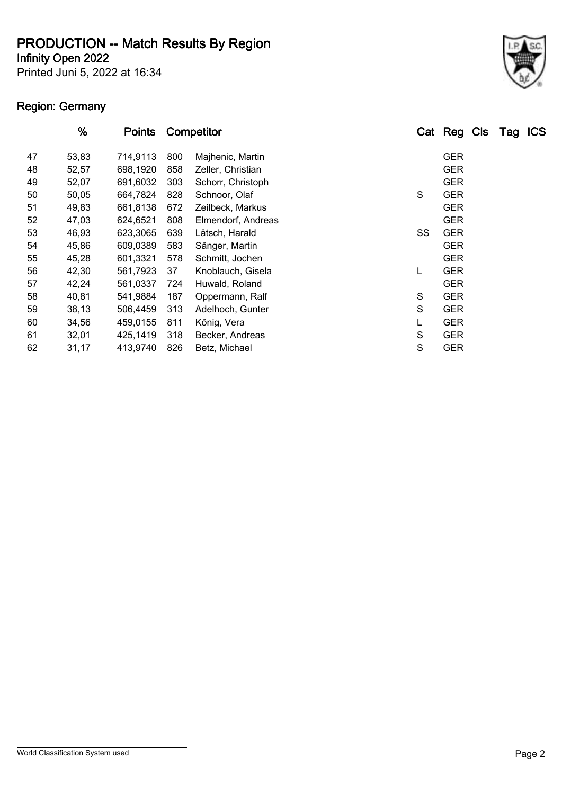**Infinity Open 2022**

Printed Juni 5, 2022 at 16:34

# **Region: Germany**

|    | $\frac{9}{6}$ | <b>Points</b> |     | Competitor         |    | Cat Reg Cls Tag ICS |  |  |
|----|---------------|---------------|-----|--------------------|----|---------------------|--|--|
| 47 | 53,83         | 714,9113      | 800 | Majhenic, Martin   |    | <b>GER</b>          |  |  |
| 48 | 52,57         | 698,1920      | 858 | Zeller, Christian  |    | <b>GER</b>          |  |  |
| 49 | 52,07         | 691,6032      | 303 | Schorr, Christoph  |    | <b>GER</b>          |  |  |
| 50 | 50,05         | 664,7824      | 828 | Schnoor, Olaf      | S  | <b>GER</b>          |  |  |
| 51 | 49,83         | 661,8138      | 672 | Zeilbeck, Markus   |    | <b>GER</b>          |  |  |
| 52 | 47,03         | 624.6521      | 808 | Elmendorf, Andreas |    | <b>GER</b>          |  |  |
| 53 | 46,93         | 623,3065      | 639 | Lätsch, Harald     | SS | <b>GER</b>          |  |  |
| 54 | 45,86         | 609,0389      | 583 | Sänger, Martin     |    | <b>GER</b>          |  |  |
| 55 | 45,28         | 601,3321      | 578 | Schmitt, Jochen    |    | <b>GER</b>          |  |  |
| 56 | 42,30         | 561,7923      | 37  | Knoblauch, Gisela  | L  | <b>GER</b>          |  |  |
| 57 | 42,24         | 561,0337      | 724 | Huwald, Roland     |    | <b>GER</b>          |  |  |
| 58 | 40,81         | 541,9884      | 187 | Oppermann, Ralf    | S  | <b>GER</b>          |  |  |
| 59 | 38,13         | 506,4459      | 313 | Adelhoch, Gunter   | S  | <b>GER</b>          |  |  |
| 60 | 34,56         | 459,0155      | 811 | König, Vera        |    | <b>GER</b>          |  |  |
| 61 | 32,01         | 425,1419      | 318 | Becker, Andreas    | S  | <b>GER</b>          |  |  |
| 62 | 31,17         | 413,9740      | 826 | Betz, Michael      | S  | <b>GER</b>          |  |  |

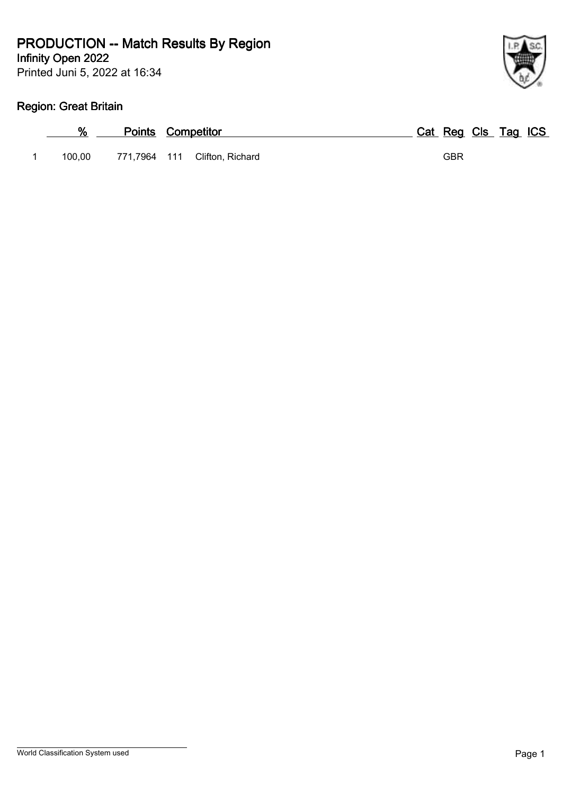Printed Juni 5, 2022 at 16:34 **Infinity Open 2022**

#### **Region: Great Britain**

| %      | <b>Points Competitor</b> |                               | Cat Reg Cls Tag ICS |  |  |
|--------|--------------------------|-------------------------------|---------------------|--|--|
| 100.00 |                          | 771,7964 111 Clifton, Richard | GBR                 |  |  |

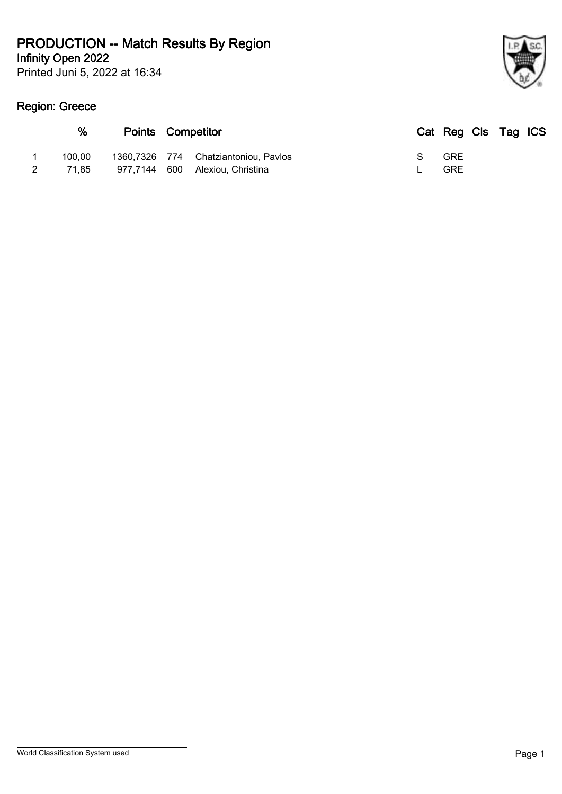Printed Juni 5, 2022 at 16:34

# **Region: Greece**

| ł |
|---|

| ℅      | <b>Points Competitor</b> |                                      |   | Cat Reg Cls Tag ICS |  |  |
|--------|--------------------------|--------------------------------------|---|---------------------|--|--|
| 100.00 |                          | 1360,7326 774 Chatziantoniou, Pavlos | S | <b>GRE</b>          |  |  |
| 71.85  |                          | 977,7144 600 Alexiou, Christina      |   | <b>GRE</b>          |  |  |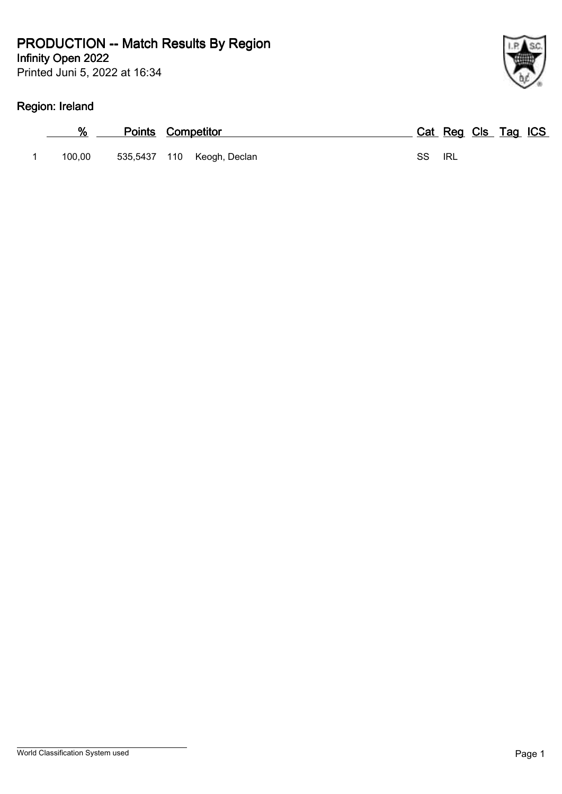Printed Juni 5, 2022 at 16:34

# **Region: Ireland**

|        | <b>Points Competitor</b> |                            |        |  | Cat Reg Cls Tag ICS |  |
|--------|--------------------------|----------------------------|--------|--|---------------------|--|
| 100.00 |                          | 535,5437 110 Keogh, Declan | SS IRL |  |                     |  |

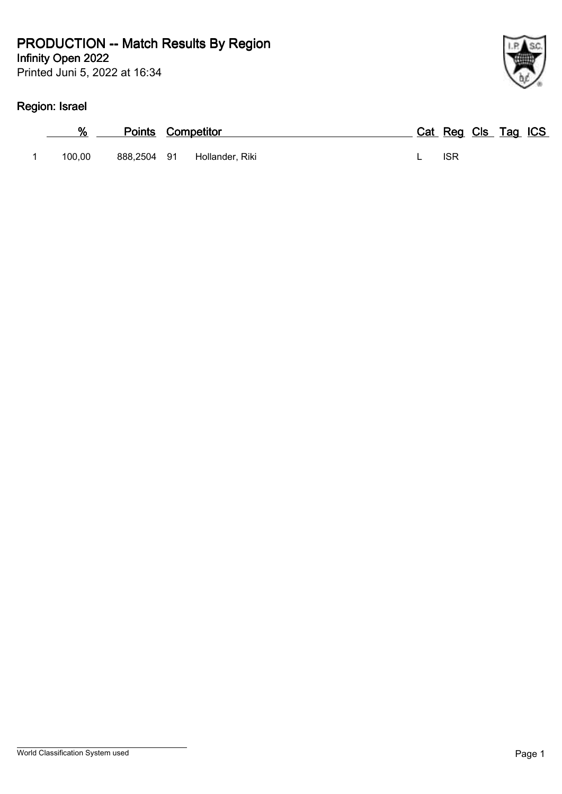Printed Juni 5, 2022 at 16:34

# **Region: Israel**

| %      | <b>Points Competitor</b> |                 |  | Cat Reg Cls Tag ICS |  |  |
|--------|--------------------------|-----------------|--|---------------------|--|--|
| 100.00 | 888.2504 91              | Hollander, Riki |  | <b>ISR</b>          |  |  |

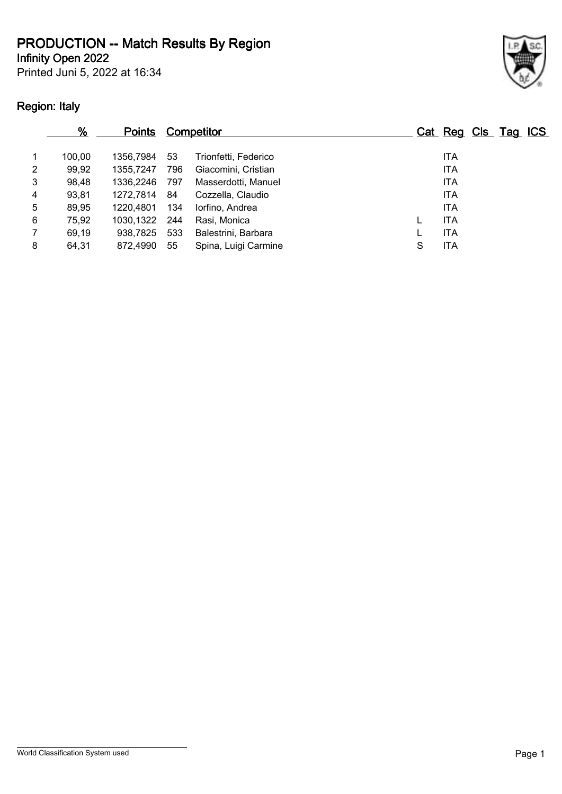**Infinity Open 2022**

Printed Juni 5, 2022 at 16:34

# **Region: Italy**



|   | %      | <b>Points</b> |     | <b>Competitor</b>    |   | Cat Reg Cls Tag ICS |  |  |
|---|--------|---------------|-----|----------------------|---|---------------------|--|--|
|   | 100.00 | 1356.7984     | 53  | Trionfetti, Federico |   | <b>ITA</b>          |  |  |
| 2 | 99,92  | 1355.7247     | 796 | Giacomini, Cristian  |   | <b>ITA</b>          |  |  |
| 3 | 98,48  | 1336.2246     | 797 | Masserdotti, Manuel  |   | <b>ITA</b>          |  |  |
| 4 | 93,81  | 1272,7814     | 84  | Cozzella, Claudio    |   | <b>ITA</b>          |  |  |
| 5 | 89,95  | 1220.4801     | 134 | lorfino, Andrea      |   | <b>ITA</b>          |  |  |
| 6 | 75,92  | 1030,1322     | 244 | Rasi, Monica         |   | <b>ITA</b>          |  |  |
|   | 69,19  | 938.7825      | 533 | Balestrini, Barbara  |   | <b>ITA</b>          |  |  |
| 8 | 64,31  | 872,4990      | 55  | Spina, Luigi Carmine | S | <b>ITA</b>          |  |  |
|   |        |               |     |                      |   |                     |  |  |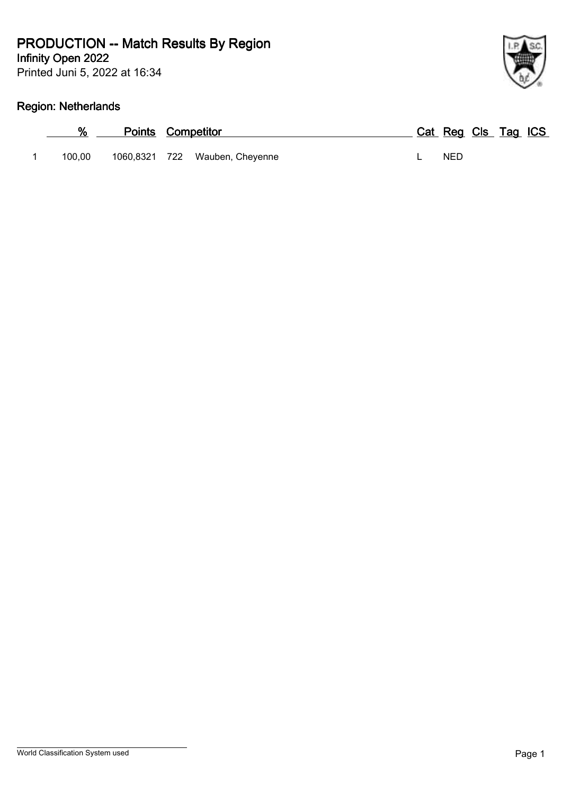Printed Juni 5, 2022 at 16:34

# **Region: Netherlands**

|        | <b>Points Competitor</b> |                                | Cat Reg Cls Tag ICS |  |  |
|--------|--------------------------|--------------------------------|---------------------|--|--|
| 100.00 |                          | 1060,8321 722 Wauben, Cheyenne | <b>NFD</b>          |  |  |

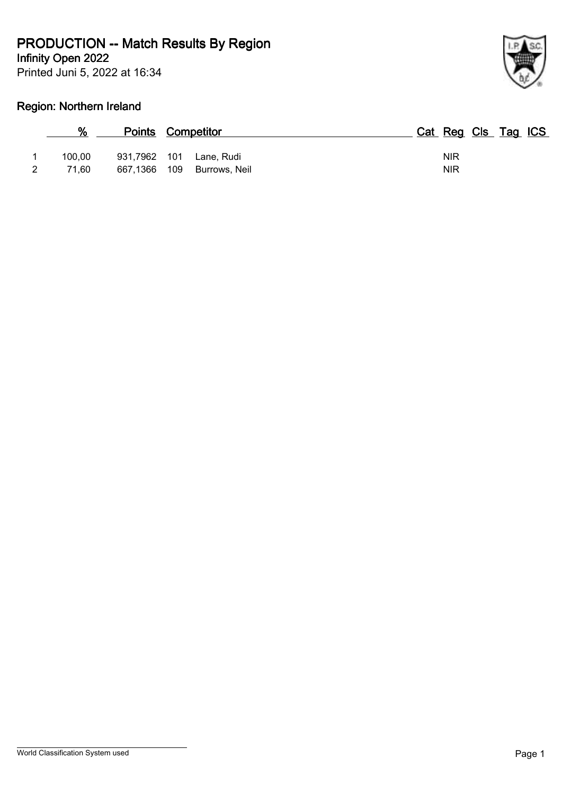**Infinity Open 2022**

Printed Juni 5, 2022 at 16:34



# **Region: Northern Ireland**

| %      |              | <b>Points Competitor</b> | Cat Reg Cls Tag ICS |
|--------|--------------|--------------------------|---------------------|
| 100,00 | 931,7962 101 | Lane, Rudi               | <b>NIR</b>          |
| 71.60  | 667,1366     | 109<br>Burrows, Neil     | <b>NIR</b>          |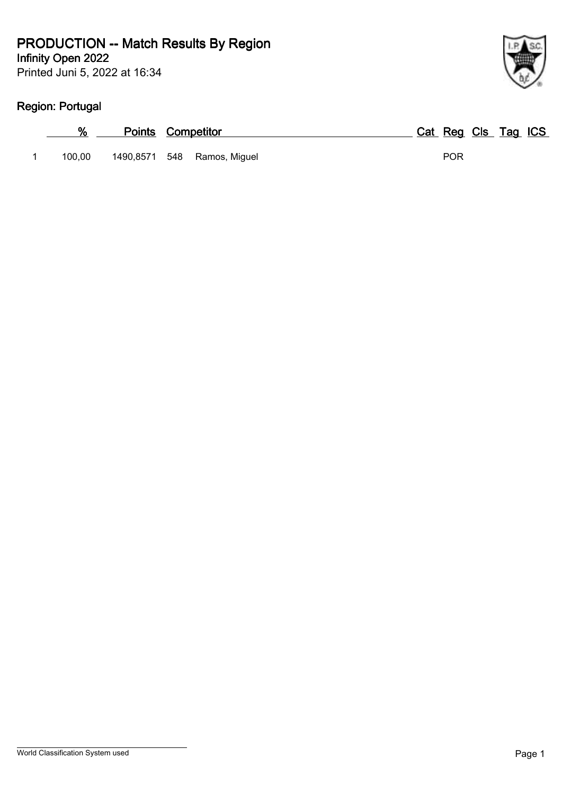Printed Juni 5, 2022 at 16:34

# **Region: Portugal**

| %      | <b>Points Competitor</b>    | Cat Reg Cls Tag ICS |
|--------|-----------------------------|---------------------|
| 100.00 | 1490,8571 548 Ramos, Miguel | <b>POR</b>          |

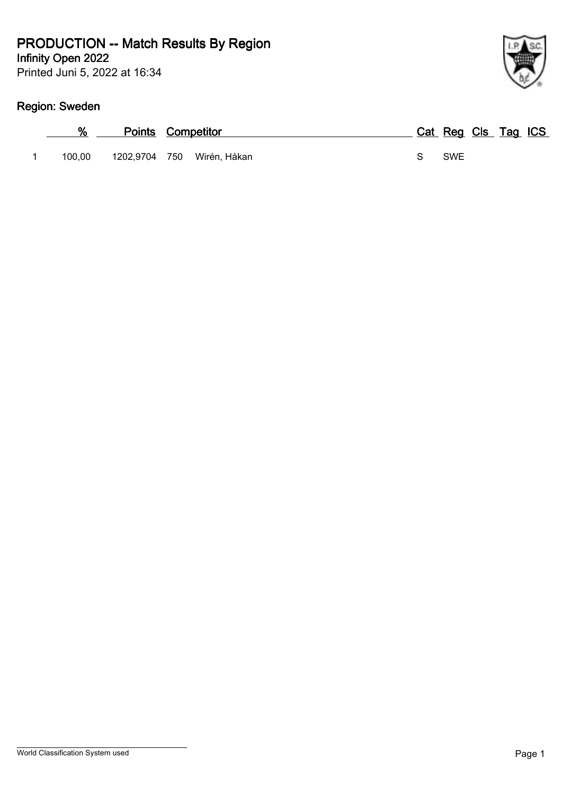Printed Juni 5, 2022 at 16:34

# **Region: Sweden**

| %      | <b>Points Competitor</b> |                            |  |            | Cat Reg Cls Tag ICS |  |
|--------|--------------------------|----------------------------|--|------------|---------------------|--|
| 100.00 |                          | 1202,9704 750 Wirén, Håkan |  | <b>SWE</b> |                     |  |

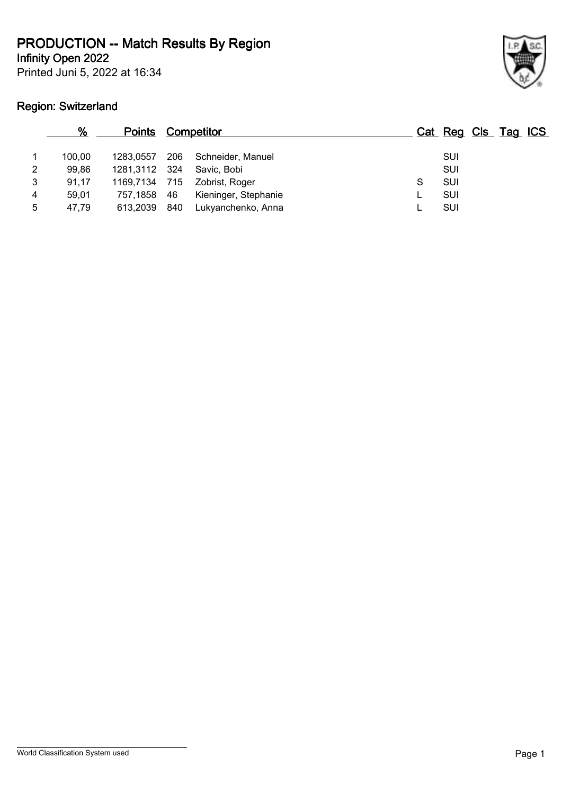**Infinity Open 2022**

Printed Juni 5, 2022 at 16:34

# **Region: Switzerland**



|   | %      | <b>Points</b> |     | <u>Competitor</u>    |   | Cat Reg Cls Tag ICS |  |  |
|---|--------|---------------|-----|----------------------|---|---------------------|--|--|
|   | 100.00 | 1283.0557     | 206 | Schneider, Manuel    |   | SUI                 |  |  |
| 2 | 99.86  | 1281,3112 324 |     | Savic. Bobi          |   | SUI                 |  |  |
| 3 | 91.17  | 1169,7134     | 715 | Zobrist, Roger       | S | SUI                 |  |  |
| 4 | 59.01  | 757,1858      | 46  | Kieninger, Stephanie |   | SUI                 |  |  |
| 5 | 47.79  | 613.2039      | 840 | Lukyanchenko, Anna   |   | SUI                 |  |  |
|   |        |               |     |                      |   |                     |  |  |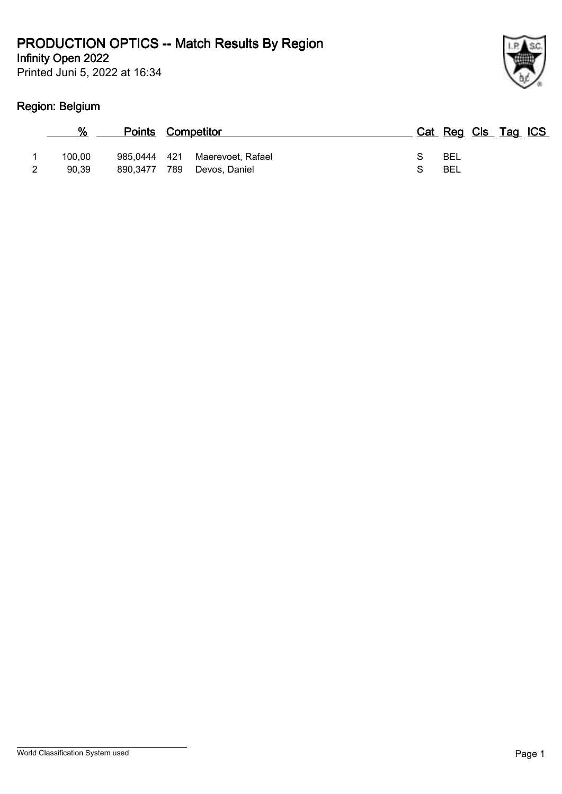Printed Juni 5, 2022 at 16:34



# **Region: Belgium**

| %               | <b>Points Competitor</b>        |                                    | Cat Reg Cls Tag ICS |  |  |
|-----------------|---------------------------------|------------------------------------|---------------------|--|--|
| 100.00<br>90.39 | 985.0444 421<br>789<br>890.3477 | Maerevoet, Rafael<br>Devos, Daniel | BEL<br>BEL          |  |  |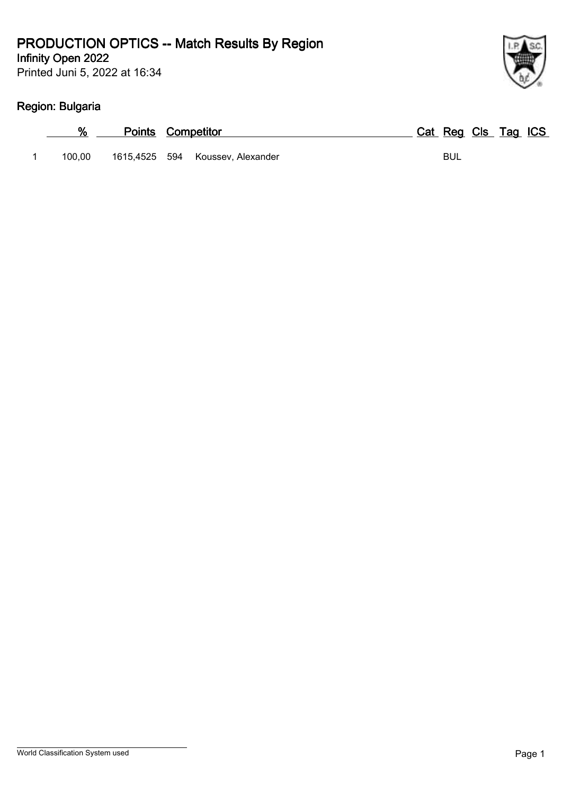Printed Juni 5, 2022 at 16:34

# **Region: Bulgaria**

|        | <b>Points Competitor</b> |                                  | Cat Reg Cls Tag ICS |  |
|--------|--------------------------|----------------------------------|---------------------|--|
| 100.00 |                          | 1615,4525 594 Koussev, Alexander | BUL                 |  |

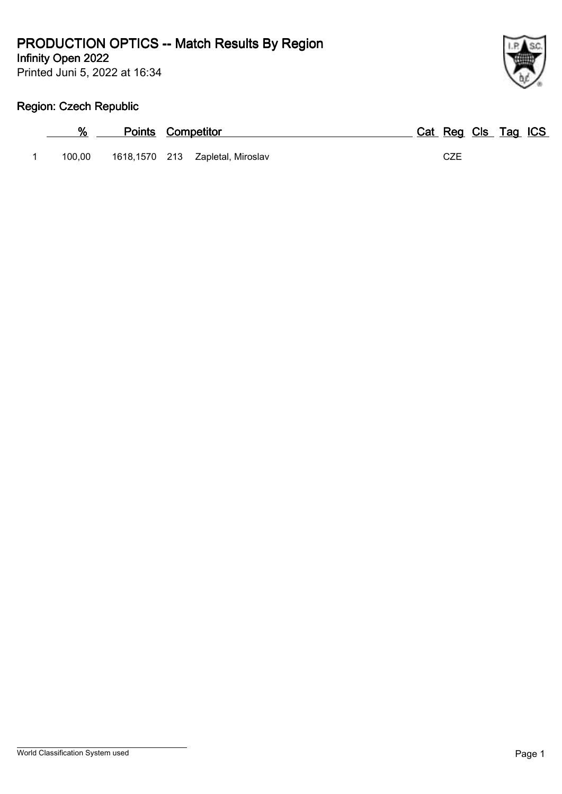Printed Juni 5, 2022 at 16:34 **Infinity Open 2022**



#### **Region: Czech Republic**

|        | <b>Points Competitor</b> |                                  | Cat Reg Cls Tag ICS |  |  |
|--------|--------------------------|----------------------------------|---------------------|--|--|
| 100.00 |                          | 1618,1570 213 Zapletal, Miroslav | CZE                 |  |  |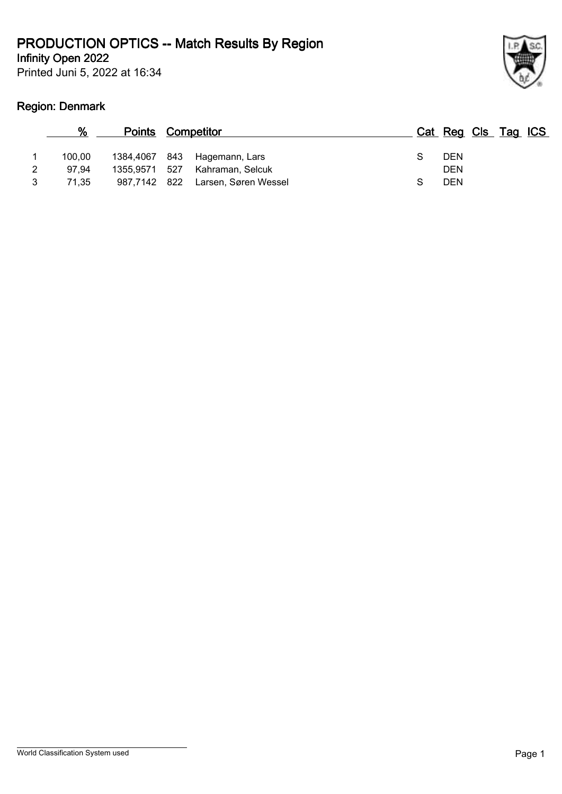Printed Juni 5, 2022 at 16:34



#### **Region: Denmark**

|   | %      | <b>Points Competitor</b> |                      |            | Cat Reg Cls Tag ICS |  |
|---|--------|--------------------------|----------------------|------------|---------------------|--|
|   | 100.00 | 1384,4067 843            | Hagemann, Lars       | <b>DEN</b> |                     |  |
| 2 | 97.94  | 1355,9571 527            | Kahraman, Selcuk     | <b>DEN</b> |                     |  |
|   | 71.35  | 987,7142 822             | Larsen, Søren Wessel | <b>DEN</b> |                     |  |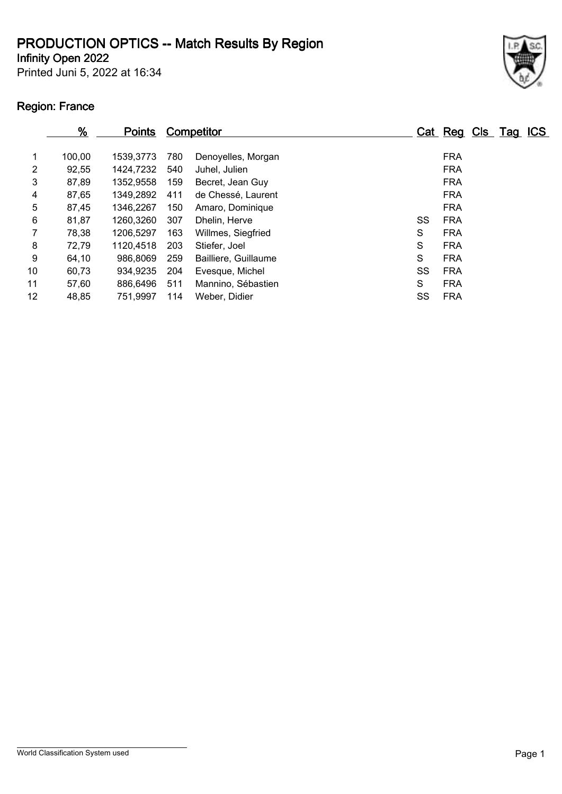Printed Juni 5, 2022 at 16:34 **Infinity Open 2022**



# **Region: France**

|                 | $\frac{9}{6}$ | <u>Points</u> |     | <b>Competitor</b>    |   |    | Cat Reg Cls Tag ICS |  |  |
|-----------------|---------------|---------------|-----|----------------------|---|----|---------------------|--|--|
| 1               | 100,00        | 1539,3773     | 780 | Denoyelles, Morgan   |   |    | <b>FRA</b>          |  |  |
| 2               | 92,55         | 1424,7232     | 540 | Juhel, Julien        |   |    | <b>FRA</b>          |  |  |
| 3               | 87,89         | 1352,9558     | 159 | Becret, Jean Guy     |   |    | <b>FRA</b>          |  |  |
| 4               | 87,65         | 1349,2892     | 411 | de Chessé, Laurent   |   |    | <b>FRA</b>          |  |  |
| 5               | 87,45         | 1346.2267     | 150 | Amaro, Dominique     |   |    | <b>FRA</b>          |  |  |
| 6               | 81,87         | 1260,3260     | 307 | Dhelin, Herve        |   | SS | <b>FRA</b>          |  |  |
|                 | 78,38         | 1206,5297     | 163 | Willmes, Siegfried   | S |    | <b>FRA</b>          |  |  |
| 8               | 72,79         | 1120,4518     | 203 | Stiefer, Joel        | S |    | <b>FRA</b>          |  |  |
| 9               | 64,10         | 986,8069      | 259 | Bailliere, Guillaume | S |    | <b>FRA</b>          |  |  |
| 10              | 60,73         | 934,9235      | 204 | Evesque, Michel      |   | SS | <b>FRA</b>          |  |  |
| 11              | 57,60         | 886,6496      | 511 | Mannino, Sébastien   | S |    | <b>FRA</b>          |  |  |
| 12 <sup>2</sup> | 48,85         | 751,9997      | 114 | Weber, Didier        |   | SS | <b>FRA</b>          |  |  |
|                 |               |               |     |                      |   |    |                     |  |  |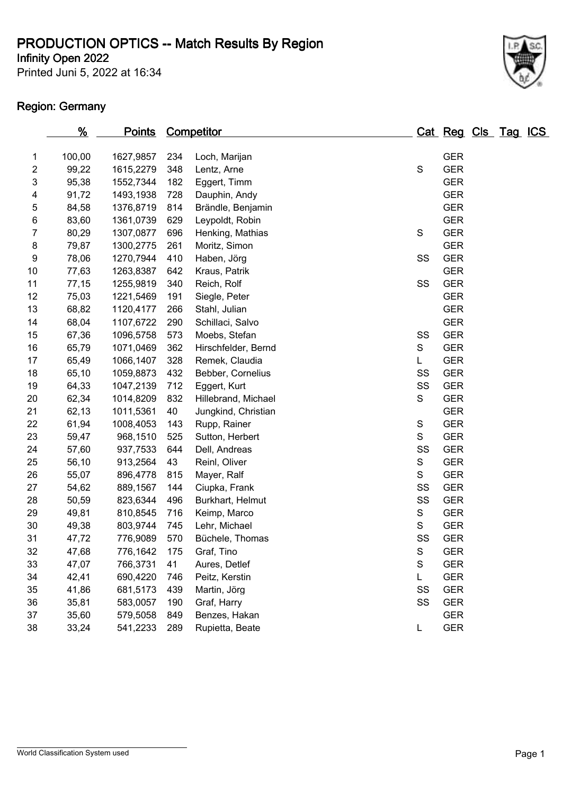Printed Juni 5, 2022 at 16:34 **Infinity Open 2022**

#### **Region: Germany**



|                          | $\frac{9}{6}$ | <u>Points</u> |     | <b>Competitor</b>   |               | Cat Reg Cls Tag ICS |  |  |
|--------------------------|---------------|---------------|-----|---------------------|---------------|---------------------|--|--|
| 1                        | 100,00        | 1627,9857     | 234 | Loch, Marijan       |               | <b>GER</b>          |  |  |
| $\overline{\mathbf{c}}$  | 99,22         | 1615,2279     | 348 | Lentz, Arne         | $\mathsf S$   | <b>GER</b>          |  |  |
| 3                        | 95,38         | 1552,7344     | 182 | Eggert, Timm        |               | <b>GER</b>          |  |  |
| $\overline{\mathcal{A}}$ | 91,72         | 1493,1938     | 728 | Dauphin, Andy       |               | <b>GER</b>          |  |  |
| 5                        | 84,58         | 1376,8719     | 814 | Brändle, Benjamin   |               | <b>GER</b>          |  |  |
| 6                        | 83,60         | 1361,0739     | 629 | Leypoldt, Robin     |               | <b>GER</b>          |  |  |
| 7                        | 80,29         | 1307,0877     | 696 | Henking, Mathias    | S             | <b>GER</b>          |  |  |
| 8                        | 79,87         | 1300,2775     | 261 | Moritz, Simon       |               | <b>GER</b>          |  |  |
| 9                        | 78,06         | 1270,7944     | 410 | Haben, Jörg         | SS            | <b>GER</b>          |  |  |
| 10                       | 77,63         | 1263,8387     | 642 | Kraus, Patrik       |               | <b>GER</b>          |  |  |
| 11                       | 77,15         | 1255,9819     | 340 | Reich, Rolf         | SS            | <b>GER</b>          |  |  |
| 12                       | 75,03         | 1221,5469     | 191 | Siegle, Peter       |               | <b>GER</b>          |  |  |
| 13                       | 68,82         | 1120,4177     | 266 | Stahl, Julian       |               | <b>GER</b>          |  |  |
| 14                       | 68,04         | 1107,6722     | 290 | Schillaci, Salvo    |               | <b>GER</b>          |  |  |
| 15                       | 67,36         | 1096,5758     | 573 | Moebs, Stefan       | SS            | <b>GER</b>          |  |  |
| 16                       | 65,79         | 1071,0469     | 362 | Hirschfelder, Bernd | S             | <b>GER</b>          |  |  |
| 17                       | 65,49         | 1066,1407     | 328 | Remek, Claudia      | L             | <b>GER</b>          |  |  |
| 18                       | 65,10         | 1059,8873     | 432 | Bebber, Cornelius   | SS            | <b>GER</b>          |  |  |
| 19                       | 64,33         | 1047,2139     | 712 | Eggert, Kurt        | SS            | <b>GER</b>          |  |  |
| 20                       | 62,34         | 1014,8209     | 832 | Hillebrand, Michael | S             | <b>GER</b>          |  |  |
| 21                       | 62,13         | 1011,5361     | 40  | Jungkind, Christian |               | <b>GER</b>          |  |  |
| 22                       | 61,94         | 1008,4053     | 143 | Rupp, Rainer        | $\mathsf S$   | <b>GER</b>          |  |  |
| 23                       | 59,47         | 968,1510      | 525 | Sutton, Herbert     | S             | <b>GER</b>          |  |  |
| 24                       | 57,60         | 937,7533      | 644 | Dell, Andreas       | SS            | <b>GER</b>          |  |  |
| 25                       | 56,10         | 913,2564      | 43  | Reinl, Oliver       | S             | <b>GER</b>          |  |  |
| 26                       | 55,07         | 896,4778      | 815 | Mayer, Ralf         | ${\mathsf S}$ | <b>GER</b>          |  |  |
| 27                       | 54,62         | 889,1567      | 144 | Ciupka, Frank       | SS            | <b>GER</b>          |  |  |
| 28                       | 50,59         | 823,6344      | 496 | Burkhart, Helmut    | SS            | <b>GER</b>          |  |  |
| 29                       | 49,81         | 810,8545      | 716 | Keimp, Marco        | ${\mathsf S}$ | <b>GER</b>          |  |  |
| 30                       | 49,38         | 803,9744      | 745 | Lehr, Michael       | ${\mathsf S}$ | <b>GER</b>          |  |  |
| 31                       | 47,72         | 776,9089      | 570 | Büchele, Thomas     | SS            | <b>GER</b>          |  |  |
| 32                       | 47,68         | 776,1642      | 175 | Graf, Tino          | $\mathbf S$   | <b>GER</b>          |  |  |
| 33                       | 47,07         | 766,3731      | 41  | Aures, Detlef       | S             | <b>GER</b>          |  |  |
| 34                       | 42,41         | 690,4220      | 746 | Peitz, Kerstin      | L             | <b>GER</b>          |  |  |
| 35                       | 41,86         | 681,5173      | 439 | Martin, Jörg        | SS            | <b>GER</b>          |  |  |
| 36                       | 35,81         | 583,0057      | 190 | Graf, Harry         | SS            | <b>GER</b>          |  |  |
| 37                       | 35,60         | 579,5058      | 849 | Benzes, Hakan       |               | <b>GER</b>          |  |  |
| 38                       | 33,24         | 541,2233      | 289 | Rupietta, Beate     | L             | <b>GER</b>          |  |  |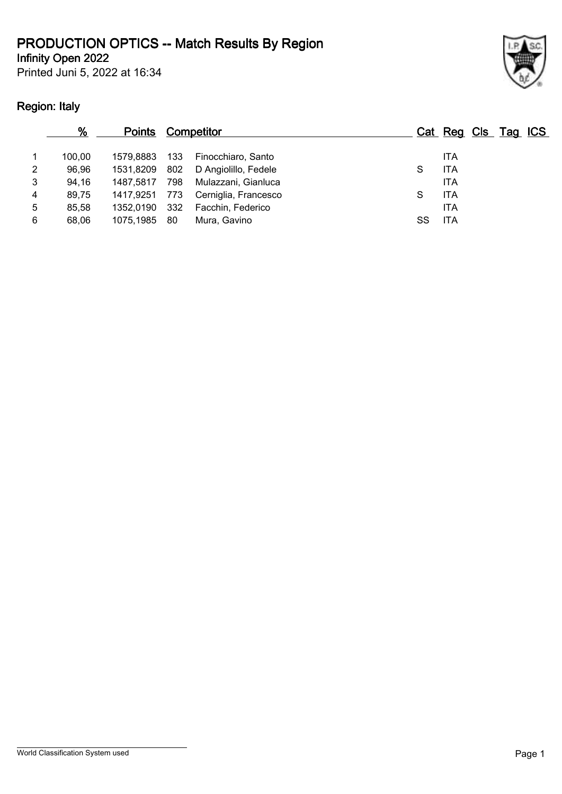Printed Juni 5, 2022 at 16:34



# **Region: Italy**

|                | %      | <b>Points Competitor</b> |      |                        |    | Cat Reg Cls Tag ICS |  |  |
|----------------|--------|--------------------------|------|------------------------|----|---------------------|--|--|
|                | 100.00 | 1579.8883                |      | 133 Finocchiaro, Santo |    | <b>ITA</b>          |  |  |
| $\overline{2}$ | 96,96  | 1531,8209                | 802  | D Angiolillo, Fedele   | S  | <b>ITA</b>          |  |  |
| 3              | 94,16  | 1487.5817                | 798  | Mulazzani, Gianluca    |    | <b>ITA</b>          |  |  |
| 4              | 89,75  | 1417.9251                | 773  | Cerniglia, Francesco   | S  | <b>ITA</b>          |  |  |
| 5              | 85,58  | 1352.0190                | 332  | Facchin, Federico      |    | <b>ITA</b>          |  |  |
| 6              | 68.06  | 1075,1985                | - 80 | Mura. Gavino           | SS | <b>ITA</b>          |  |  |
|                |        |                          |      |                        |    |                     |  |  |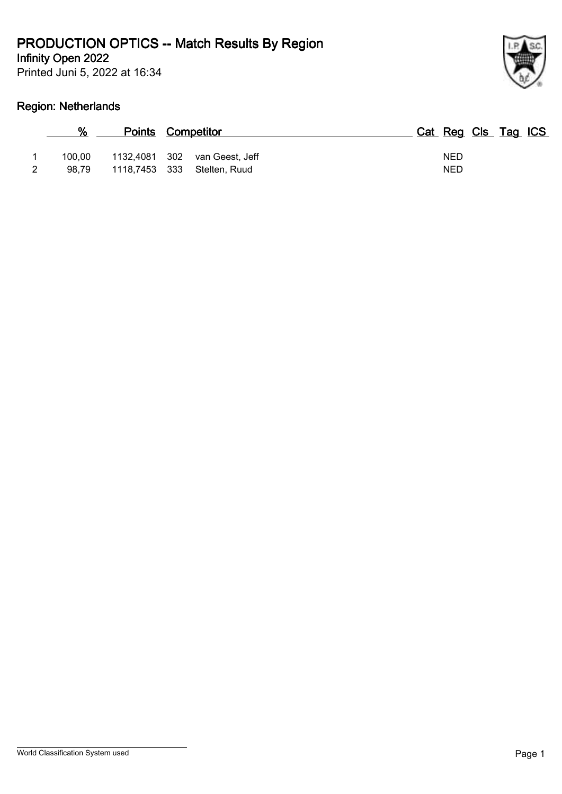Printed Juni 5, 2022 at 16:34 **Infinity Open 2022**



#### **Region: Netherlands**

| %      | <b>Points Competitor</b>          | Cat Reg Cls Tag ICS |
|--------|-----------------------------------|---------------------|
| 100.00 | 1132,4081 302 van Geest, Jeff     | <b>NED</b>          |
|        | 98,79 1118,7453 333 Stelten, Ruud | <b>NED</b>          |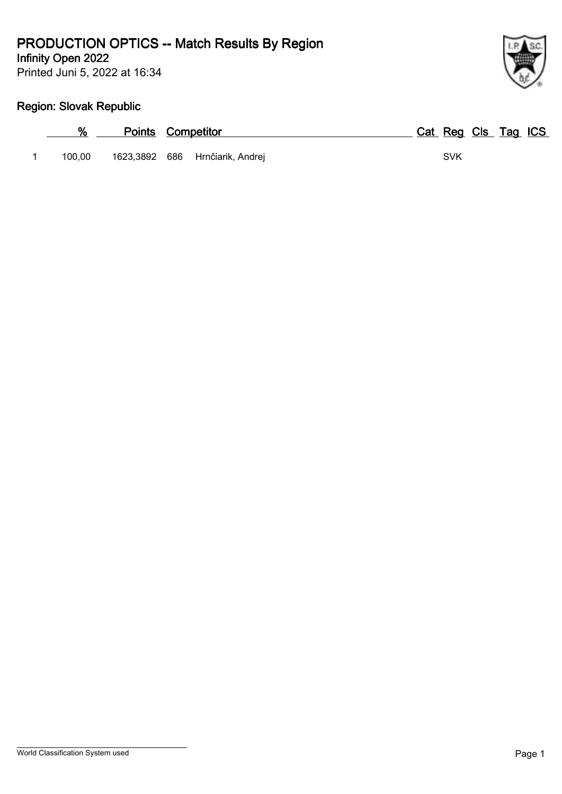Printed Juni 5, 2022 at 16:34 **Infinity Open 2022**



# **Region: Slovak Republic**

|        | <b>Points Competitor</b> |                                 |  | Cat Reg Cls Tag ICS |  |  |
|--------|--------------------------|---------------------------------|--|---------------------|--|--|
| 100.00 |                          | 1623,3892 686 Hrnčiarik, Andrej |  | <b>SVK</b>          |  |  |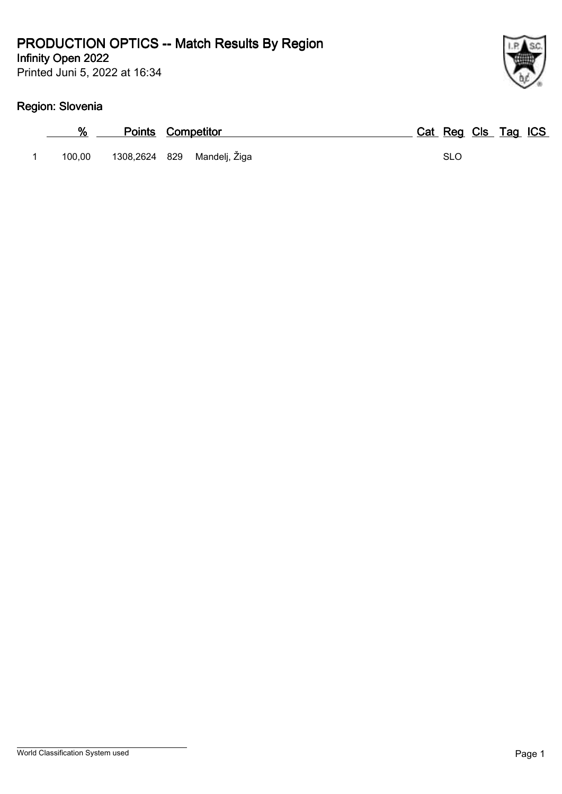Printed Juni 5, 2022 at 16:34

# **Region: Slovenia**

| %      | <b>Points Competitor</b>    | Cat Reg Cls Tag ICS |  |  |
|--------|-----------------------------|---------------------|--|--|
| 100.00 | 1308,2624 829 Mandelj, Žiga | <b>SLO</b>          |  |  |

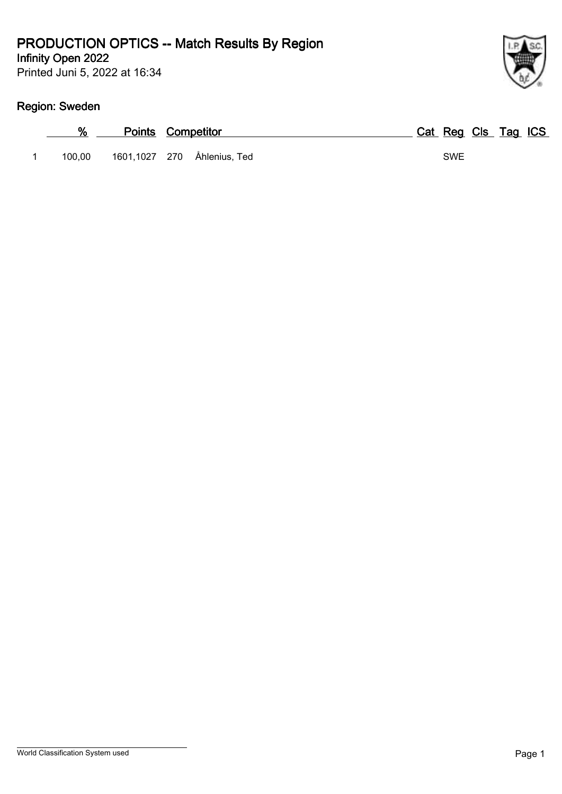Printed Juni 5, 2022 at 16:34

# **Region: Sweden**

|        | <b>Points Competitor</b> |                             | Cat Reg Cls Tag ICS |  |  |
|--------|--------------------------|-----------------------------|---------------------|--|--|
| 100,00 |                          | 1601,1027 270 Åhlenius, Ted | <b>SWE</b>          |  |  |

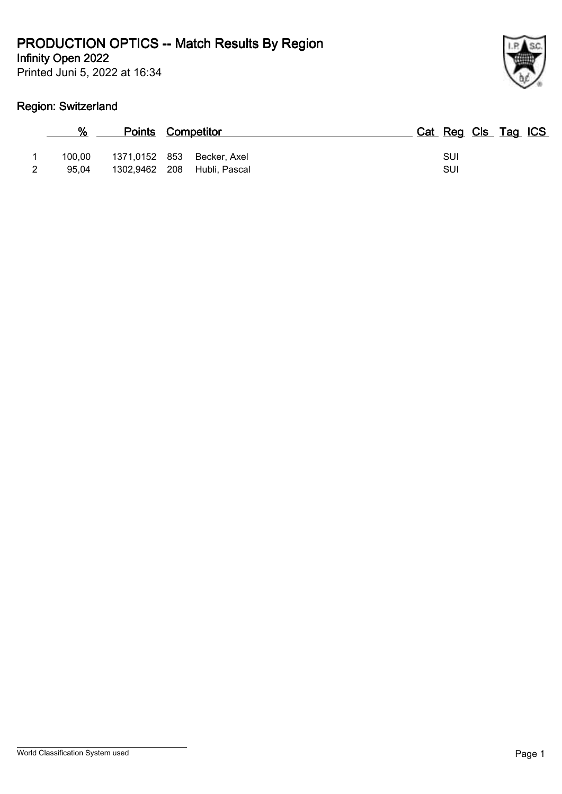Printed Juni 5, 2022 at 16:34



#### **Region: Switzerland**

|                 |                                                           | <b>Points Competitor</b> |  |  | Cat Reg Cls Tag ICS |  |  |
|-----------------|-----------------------------------------------------------|--------------------------|--|--|---------------------|--|--|
| 100.00<br>95.04 | 1371,0152 853 Becker, Axel<br>1302,9462 208 Hubli, Pascal |                          |  |  | SUI<br>SUI          |  |  |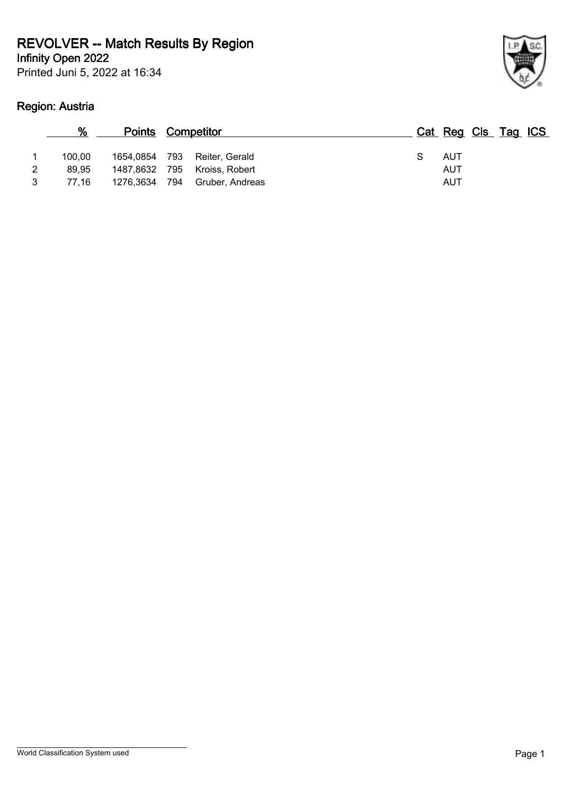# **REVOLVER -- Match Results By Region**

**Infinity Open 2022**

Printed Juni 5, 2022 at 16:34

# **Region: Austria**



|   | %      | <b>Points Competitor</b> |                 |  | Cat Reg Cls Tag ICS |  |  |
|---|--------|--------------------------|-----------------|--|---------------------|--|--|
|   | 100.00 | 1654,0854 793            | Reiter, Gerald  |  | AUT                 |  |  |
| 2 | 89.95  | 1487,8632 795            | Kroiss, Robert  |  | AUT                 |  |  |
| 3 | 77.16  | 1276,3634 794            | Gruber, Andreas |  | AUT                 |  |  |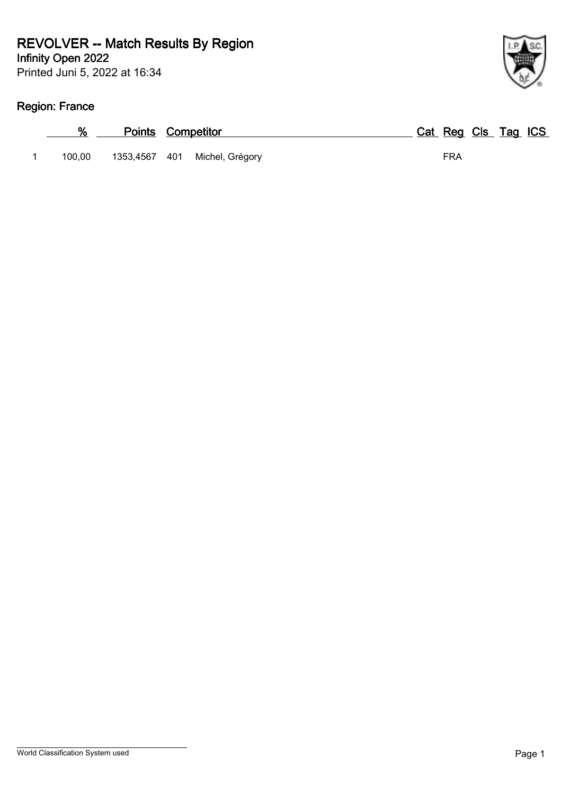### **Infinity Open 2022 REVOLVER -- Match Results By Region**

Printed Juni 5, 2022 at 16:34

# **Region: France**

|        | <b>Points Competitor</b>      | Cat Reg Cls Tag ICS |
|--------|-------------------------------|---------------------|
| 100.00 | 1353,4567 401 Michel, Grégory | FRA                 |

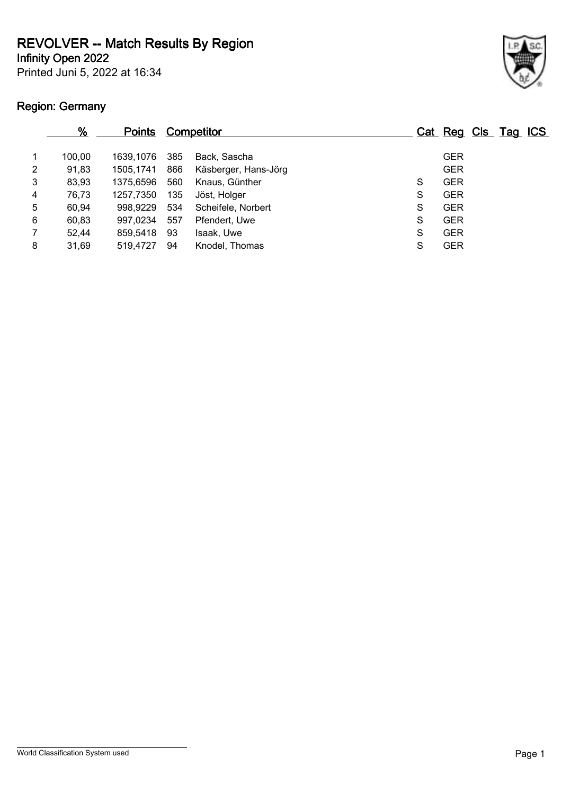**REVOLVER -- Match Results By Region**

**Infinity Open 2022**

Printed Juni 5, 2022 at 16:34

# **Region: Germany**



|   | $\frac{9}{6}$ | <b>Points</b> |     | <b>Competitor</b>    |   | Cat Reg Cls Tag ICS |  |  |
|---|---------------|---------------|-----|----------------------|---|---------------------|--|--|
|   | 100.00        | 1639.1076     | 385 | Back. Sascha         |   | <b>GER</b>          |  |  |
| 2 | 91,83         | 1505.1741     | 866 | Käsberger, Hans-Jörg |   | <b>GER</b>          |  |  |
| 3 | 83,93         | 1375.6596     | 560 | Knaus, Günther       | S | <b>GER</b>          |  |  |
| 4 | 76,73         | 1257,7350     | 135 | Jöst, Holger         | S | <b>GER</b>          |  |  |
| 5 | 60,94         | 998.9229      | 534 | Scheifele, Norbert   | S | <b>GER</b>          |  |  |
| 6 | 60,83         | 997,0234      | 557 | Pfendert, Uwe        | S | <b>GER</b>          |  |  |
|   | 52,44         | 859,5418      | 93  | Isaak, Uwe           | S | <b>GER</b>          |  |  |
| 8 | 31,69         | 519,4727      | 94  | Knodel, Thomas       | S | <b>GER</b>          |  |  |
|   |               |               |     |                      |   |                     |  |  |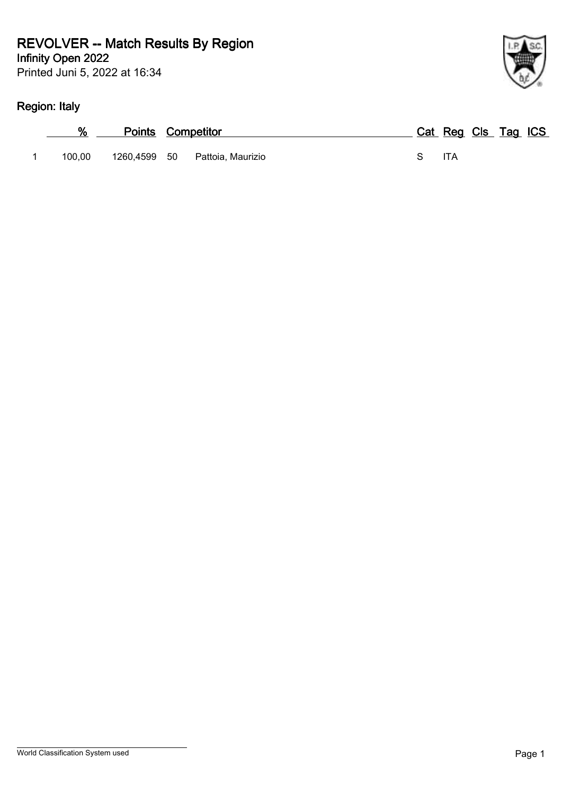### **Infinity Open 2022 REVOLVER -- Match Results By Region**

Printed Juni 5, 2022 at 16:34

# **Region: Italy**

| .      |                                |                     |
|--------|--------------------------------|---------------------|
| ℅      | <b>Points Competitor</b>       | Cat Reg Cls Tag ICS |
| 100.00 | 1260,4599 50 Pattoia, Maurizio | ITA                 |

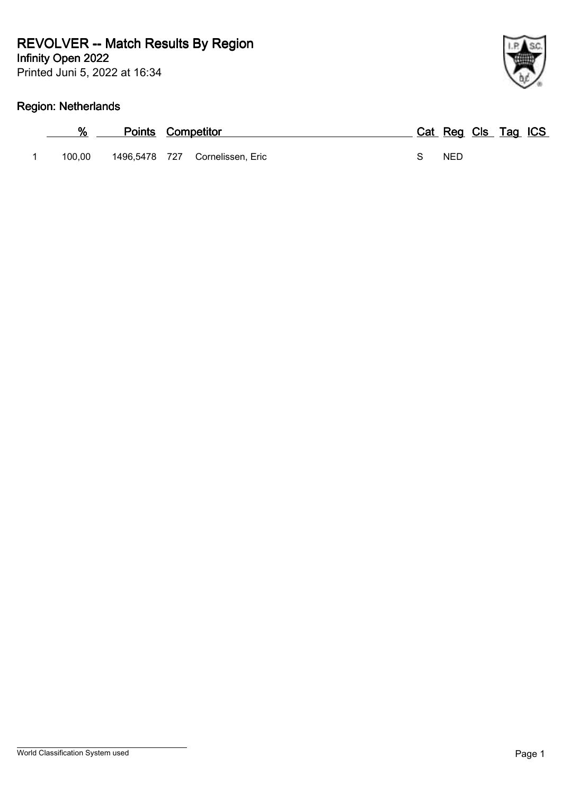# **REVOLVER -- Match Results By Region**

**Infinity Open 2022**

Printed Juni 5, 2022 at 16:34

# **Region: Netherlands**

| %      | <b>Points Competitor</b> |                                 |  | Cat Reg Cls Tag ICS |  |  |
|--------|--------------------------|---------------------------------|--|---------------------|--|--|
| 100.00 |                          | 1496,5478 727 Cornelissen, Eric |  | <b>NED</b>          |  |  |

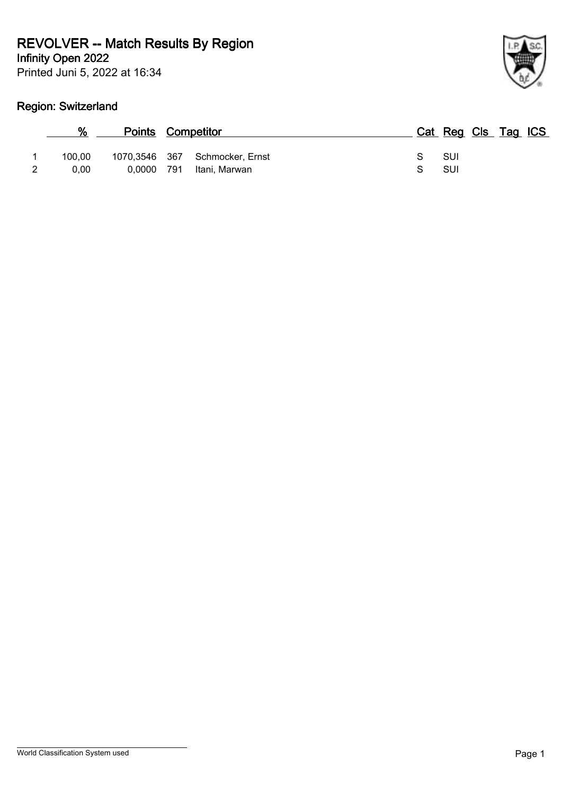# **REVOLVER -- Match Results By Region**

**Infinity Open 2022**

Printed Juni 5, 2022 at 16:34

# **Region: Switzerland**

| ł |
|---|

| %      | <b>Points Competitor</b> |     |                                |    | Cat Reg Cls Tag ICS |  |  |
|--------|--------------------------|-----|--------------------------------|----|---------------------|--|--|
| 100.00 |                          |     | 1070,3546 367 Schmocker, Ernst | S. | -SUI                |  |  |
| 0.00   | 0.0000                   | 791 | Itani, Marwan                  |    | SUI                 |  |  |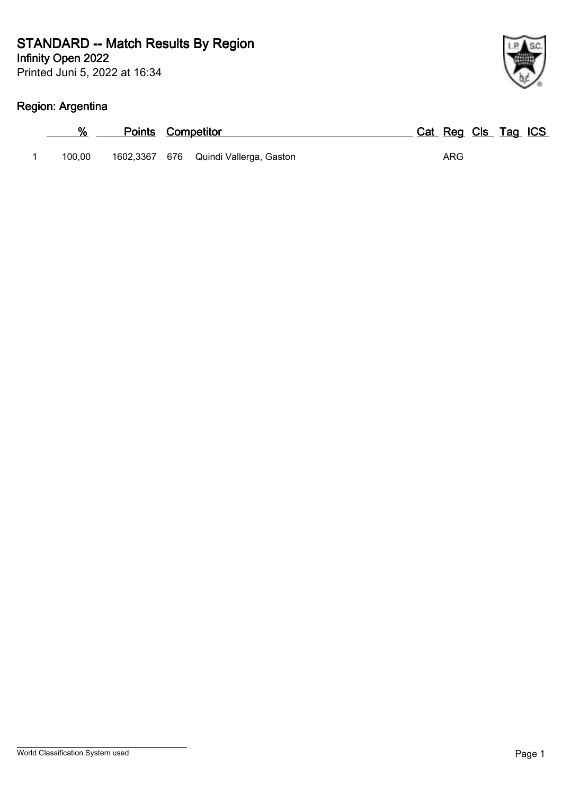Printed Juni 5, 2022 at 16:34 **Infinity Open 2022**

# **Region: Argentina**

| %      | <b>Points Competitor</b> |                                       | Cat Reg Cls Tag ICS |  |
|--------|--------------------------|---------------------------------------|---------------------|--|
| 100.00 |                          | 1602,3367 676 Quindi Vallerga, Gaston | ARG                 |  |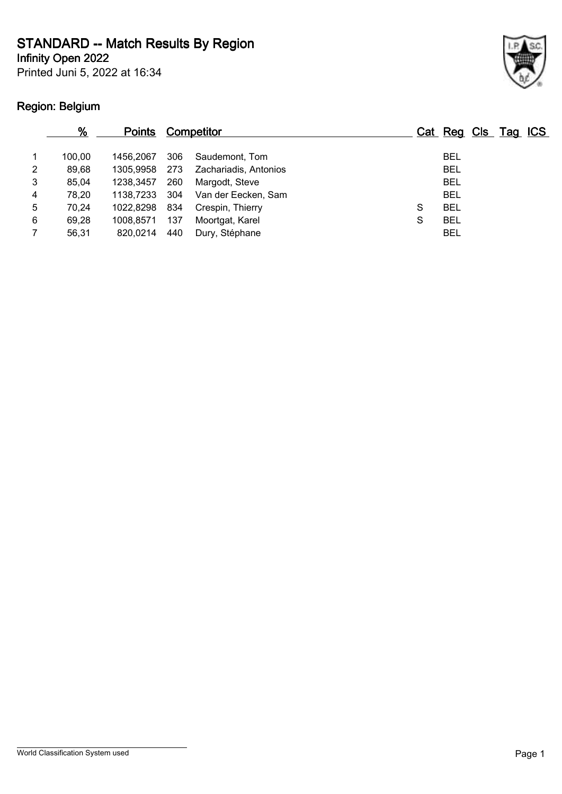**Infinity Open 2022**

Printed Juni 5, 2022 at 16:34

# **Region: Belgium**



|   | %      | <b>Points</b> |     | <b>Competitor</b>     |   | Cat Reg Cls Tag ICS |  |  |
|---|--------|---------------|-----|-----------------------|---|---------------------|--|--|
|   | 100.00 | 1456.2067     | 306 | Saudemont, Tom        |   | <b>BEL</b>          |  |  |
| 2 | 89,68  | 1305.9958     | 273 | Zachariadis, Antonios |   | <b>BEL</b>          |  |  |
| 3 | 85,04  | 1238.3457     | 260 | Margodt, Steve        |   | <b>BEL</b>          |  |  |
| 4 | 78.20  | 1138.7233     | 304 | Van der Eecken, Sam   |   | <b>BEL</b>          |  |  |
| 5 | 70,24  | 1022.8298     | 834 | Crespin, Thierry      | S | <b>BEL</b>          |  |  |
| 6 | 69,28  | 1008.8571     | 137 | Moortgat, Karel       | S | <b>BEL</b>          |  |  |
|   | 56,31  | 820.0214      | 440 | Dury, Stéphane        |   | <b>BEL</b>          |  |  |
|   |        |               |     |                       |   |                     |  |  |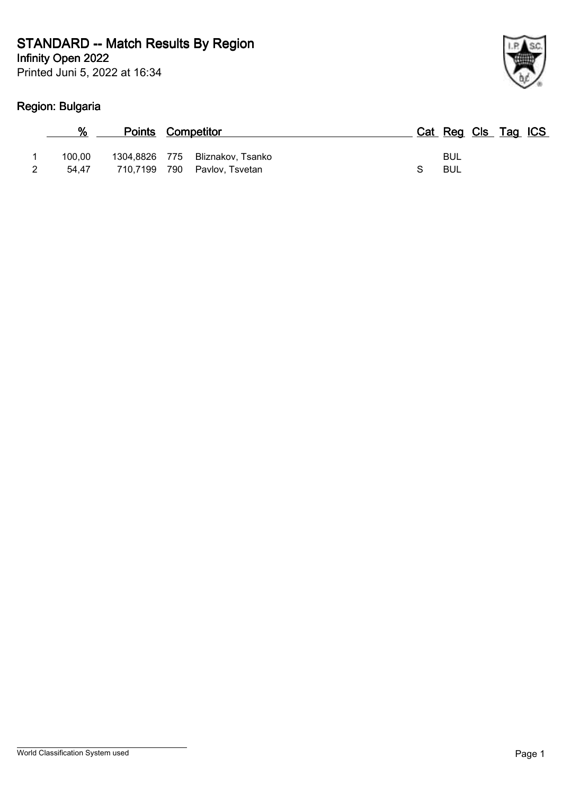**Infinity Open 2022**

Printed Juni 5, 2022 at 16:34

# **Region: Bulgaria**

| %               | <b>Points Competitor</b> |                                                                 | Cat Reg Cls Tag ICS |  |  |
|-----------------|--------------------------|-----------------------------------------------------------------|---------------------|--|--|
| 100.00<br>54.47 |                          | 1304,8826 775 Bliznakov, Tsanko<br>710,7199 790 Pavlov, Tsvetan | BUL<br>BUL          |  |  |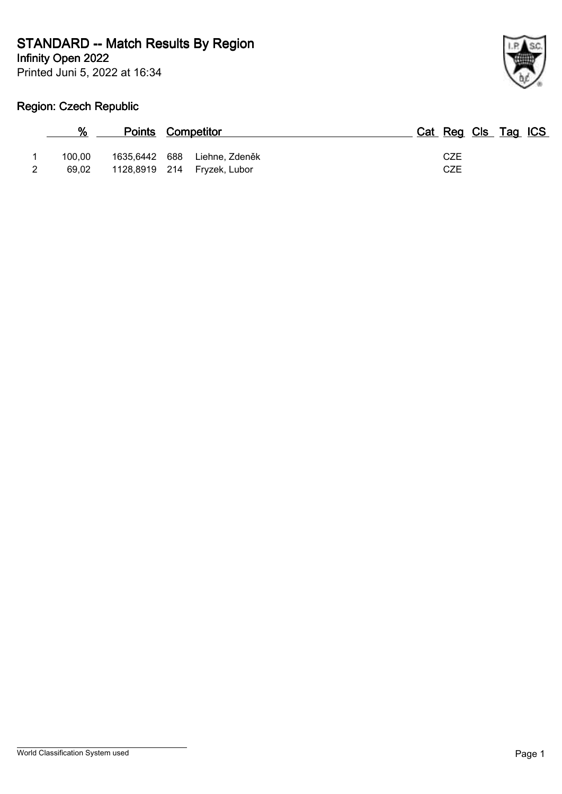**Infinity Open 2022**

Printed Juni 5, 2022 at 16:34



# **Region: Czech Republic**

| $\%$   | <b>Points Competitor</b> |                                                     | Cat Reg Cls Tag ICS |  |  |
|--------|--------------------------|-----------------------------------------------------|---------------------|--|--|
| 100.00 | 1635,6442 688            | Liehne, Zdeněk<br>69,02 1128,8919 214 Fryzek, Lubor | CZE<br>CZE          |  |  |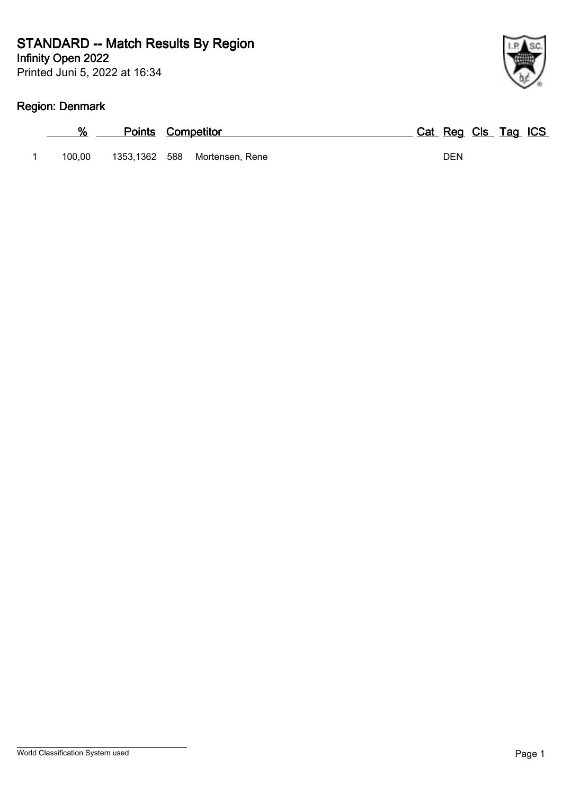Printed Juni 5, 2022 at 16:34 **Infinity Open 2022**

# **Region: Denmark**

| ℅      | <b>Points Competitor</b> |                               | Cat Reg Cls Tag ICS |
|--------|--------------------------|-------------------------------|---------------------|
| 100.00 |                          | 1353,1362 588 Mortensen, Rene | DEN                 |

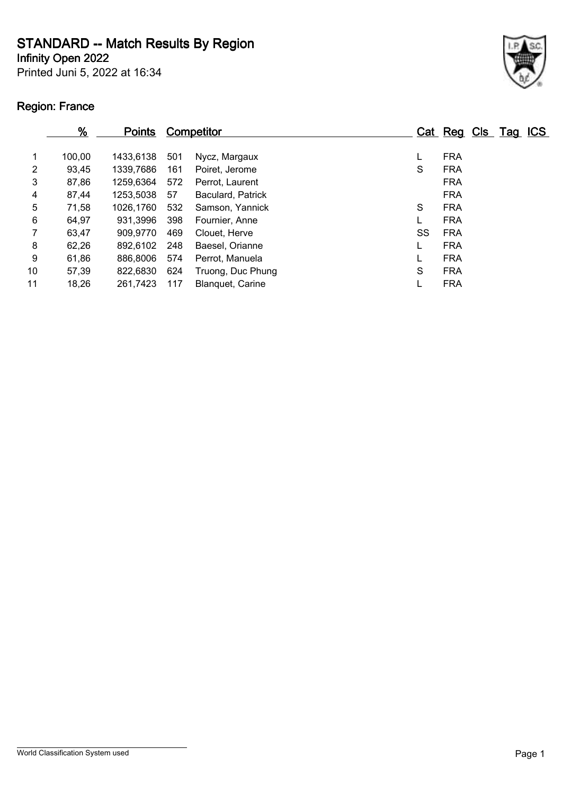**Infinity Open 2022**

Printed Juni 5, 2022 at 16:34

# **Region: France**



|    | %      | <b>Points</b> |     | <b>Competitor</b> |    | Cat Reg Cls Tag ICS |  |  |
|----|--------|---------------|-----|-------------------|----|---------------------|--|--|
| 1  | 100,00 | 1433.6138     | 501 | Nycz, Margaux     |    | <b>FRA</b>          |  |  |
| 2  | 93,45  | 1339,7686     | 161 | Poiret, Jerome    | S  | <b>FRA</b>          |  |  |
| 3  | 87,86  | 1259,6364     | 572 | Perrot, Laurent   |    | <b>FRA</b>          |  |  |
| 4  | 87,44  | 1253,5038     | 57  | Baculard, Patrick |    | <b>FRA</b>          |  |  |
| 5  | 71,58  | 1026,1760     | 532 | Samson, Yannick   | S  | <b>FRA</b>          |  |  |
| 6  | 64,97  | 931,3996      | 398 | Fournier, Anne    |    | <b>FRA</b>          |  |  |
| 7  | 63,47  | 909,9770      | 469 | Clouet, Herve     | SS | <b>FRA</b>          |  |  |
| 8  | 62,26  | 892,6102      | 248 | Baesel, Orianne   |    | <b>FRA</b>          |  |  |
| 9  | 61,86  | 886,8006      | 574 | Perrot, Manuela   |    | <b>FRA</b>          |  |  |
| 10 | 57,39  | 822,6830      | 624 | Truong, Duc Phung | S  | <b>FRA</b>          |  |  |
| 11 | 18,26  | 261,7423      | 117 | Blanquet, Carine  |    | <b>FRA</b>          |  |  |
|    |        |               |     |                   |    |                     |  |  |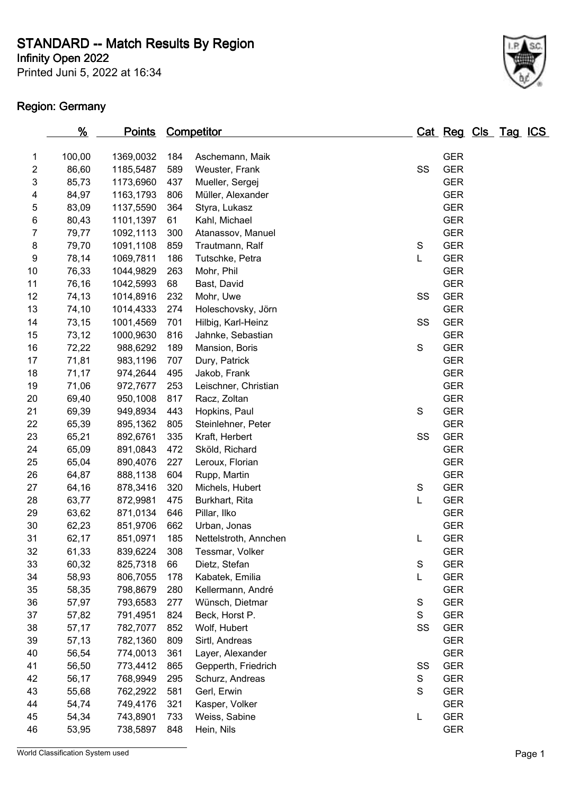**Infinity Open 2022**

Printed Juni 5, 2022 at 16:34

# **Region: Germany**



|                  | <u>%</u> | <u>Points</u> |     | <b>Competitor</b>     |               | Cat Reg Cls Tag ICS |  |  |
|------------------|----------|---------------|-----|-----------------------|---------------|---------------------|--|--|
| 1                | 100,00   | 1369,0032     | 184 | Aschemann, Maik       |               | <b>GER</b>          |  |  |
| $\overline{c}$   | 86,60    | 1185,5487     | 589 | Weuster, Frank        | SS            | <b>GER</b>          |  |  |
| 3                | 85,73    | 1173,6960     | 437 | Mueller, Sergej       |               | <b>GER</b>          |  |  |
| 4                | 84,97    | 1163,1793     | 806 | Müller, Alexander     |               | <b>GER</b>          |  |  |
| 5                | 83,09    | 1137,5590     | 364 | Styra, Lukasz         |               | <b>GER</b>          |  |  |
| 6                | 80,43    | 1101,1397     | 61  | Kahl, Michael         |               | <b>GER</b>          |  |  |
| $\boldsymbol{7}$ | 79,77    | 1092,1113     | 300 | Atanassov, Manuel     |               | <b>GER</b>          |  |  |
| 8                | 79,70    | 1091,1108     | 859 | Trautmann, Ralf       | S             | <b>GER</b>          |  |  |
| 9                | 78,14    | 1069,7811     | 186 | Tutschke, Petra       | L             | <b>GER</b>          |  |  |
| $10$             | 76,33    | 1044,9829     | 263 | Mohr, Phil            |               | <b>GER</b>          |  |  |
| 11               | 76,16    | 1042,5993     | 68  | Bast, David           |               | <b>GER</b>          |  |  |
| 12               | 74,13    | 1014,8916     | 232 | Mohr, Uwe             | SS            | <b>GER</b>          |  |  |
| 13               | 74,10    | 1014,4333     | 274 | Holeschovsky, Jörn    |               | <b>GER</b>          |  |  |
| 14               | 73,15    | 1001,4569     | 701 | Hilbig, Karl-Heinz    | SS            | <b>GER</b>          |  |  |
| 15               | 73,12    | 1000,9630     | 816 | Jahnke, Sebastian     |               | <b>GER</b>          |  |  |
| 16               | 72,22    | 988,6292      | 189 | Mansion, Boris        | $\mathbf S$   | <b>GER</b>          |  |  |
| 17               | 71,81    | 983,1196      | 707 | Dury, Patrick         |               | <b>GER</b>          |  |  |
| 18               | 71,17    | 974,2644      | 495 | Jakob, Frank          |               | <b>GER</b>          |  |  |
| 19               | 71,06    | 972,7677      | 253 | Leischner, Christian  |               | <b>GER</b>          |  |  |
| 20               | 69,40    | 950,1008      | 817 | Racz, Zoltan          |               | <b>GER</b>          |  |  |
| 21               | 69,39    | 949,8934      | 443 | Hopkins, Paul         | S             | <b>GER</b>          |  |  |
| 22               | 65,39    | 895,1362      | 805 | Steinlehner, Peter    |               | <b>GER</b>          |  |  |
| 23               | 65,21    | 892,6761      | 335 | Kraft, Herbert        | SS            | <b>GER</b>          |  |  |
| 24               | 65,09    | 891,0843      | 472 | Sköld, Richard        |               | <b>GER</b>          |  |  |
| 25               | 65,04    | 890,4076      | 227 | Leroux, Florian       |               | <b>GER</b>          |  |  |
| 26               | 64,87    | 888,1138      | 604 | Rupp, Martin          |               | <b>GER</b>          |  |  |
| 27               | 64,16    | 878,3416      | 320 | Michels, Hubert       | S             | <b>GER</b>          |  |  |
| 28               | 63,77    | 872,9981      | 475 | Burkhart, Rita        | L             | <b>GER</b>          |  |  |
| 29               | 63,62    | 871,0134      | 646 | Pillar, Ilko          |               | <b>GER</b>          |  |  |
| 30               | 62,23    | 851,9706      | 662 | Urban, Jonas          |               | <b>GER</b>          |  |  |
| 31               | 62,17    | 851,0971      | 185 | Nettelstroth, Annchen | L             | <b>GER</b>          |  |  |
| 32               | 61,33    | 839,6224      | 308 | Tessmar, Volker       |               | <b>GER</b>          |  |  |
| 33               | 60,32    | 825,7318      | 66  | Dietz, Stefan         | $\mathbf S$   | <b>GER</b>          |  |  |
| 34               | 58,93    | 806,7055      | 178 | Kabatek, Emilia       | L             | <b>GER</b>          |  |  |
| 35               | 58,35    | 798,8679      | 280 | Kellermann, André     |               | <b>GER</b>          |  |  |
| 36               | 57,97    | 793,6583      | 277 | Wünsch, Dietmar       | S             | <b>GER</b>          |  |  |
| 37               | 57,82    | 791,4951      | 824 | Beck, Horst P.        | S             | <b>GER</b>          |  |  |
| 38               | 57,17    | 782,7077      | 852 | Wolf, Hubert          | SS            | <b>GER</b>          |  |  |
| 39               | 57,13    | 782,1360      | 809 | Sirtl, Andreas        |               | <b>GER</b>          |  |  |
| 40               | 56,54    | 774,0013      | 361 | Layer, Alexander      |               | <b>GER</b>          |  |  |
| 41               | 56,50    | 773,4412      | 865 | Gepperth, Friedrich   | SS            | <b>GER</b>          |  |  |
| 42               | 56,17    | 768,9949      | 295 | Schurz, Andreas       | ${\mathsf S}$ | <b>GER</b>          |  |  |
| 43               | 55,68    | 762,2922      | 581 | Gerl, Erwin           | S             | <b>GER</b>          |  |  |
| 44               | 54,74    | 749,4176      | 321 | Kasper, Volker        |               | <b>GER</b>          |  |  |
| 45               | 54,34    | 743,8901      | 733 | Weiss, Sabine         | L             | <b>GER</b>          |  |  |
| 46               | 53,95    | 738,5897      | 848 | Hein, Nils            |               | <b>GER</b>          |  |  |

World Classification System used **Page 1**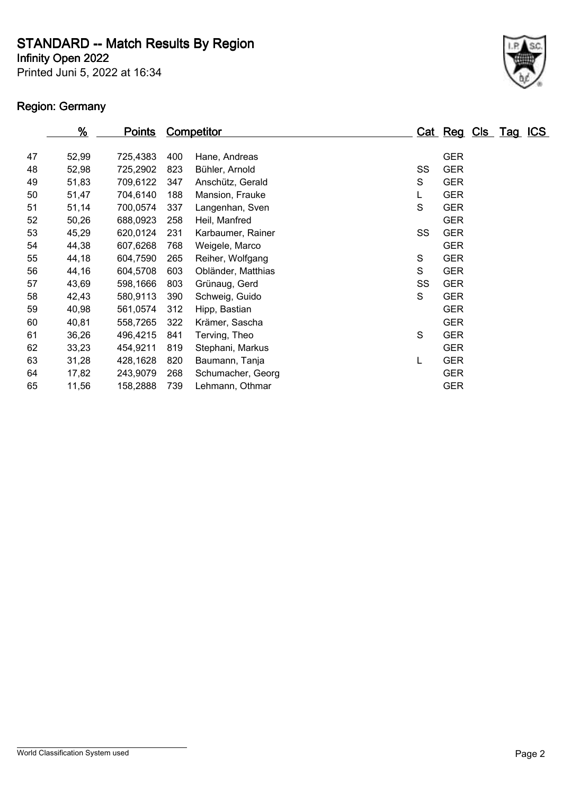**Infinity Open 2022**

Printed Juni 5, 2022 at 16:34

# **Region: Germany**



|    | <u>%</u> | <u>Points</u> |     | Competitor         |    | Cat Reg    | Cls Tag | <u>ICS</u> |
|----|----------|---------------|-----|--------------------|----|------------|---------|------------|
|    |          |               |     |                    |    |            |         |            |
| 47 | 52,99    | 725,4383      | 400 | Hane, Andreas      |    | <b>GER</b> |         |            |
| 48 | 52,98    | 725,2902      | 823 | Bühler, Arnold     | SS | <b>GER</b> |         |            |
| 49 | 51,83    | 709,6122      | 347 | Anschütz, Gerald   | S  | <b>GER</b> |         |            |
| 50 | 51,47    | 704,6140      | 188 | Mansion, Frauke    | L  | <b>GER</b> |         |            |
| 51 | 51,14    | 700,0574      | 337 | Langenhan, Sven    | S  | <b>GER</b> |         |            |
| 52 | 50,26    | 688,0923      | 258 | Heil, Manfred      |    | <b>GER</b> |         |            |
| 53 | 45,29    | 620,0124      | 231 | Karbaumer, Rainer  | SS | <b>GER</b> |         |            |
| 54 | 44,38    | 607,6268      | 768 | Weigele, Marco     |    | <b>GER</b> |         |            |
| 55 | 44,18    | 604,7590      | 265 | Reiher, Wolfgang   | S  | <b>GER</b> |         |            |
| 56 | 44,16    | 604,5708      | 603 | Obländer, Matthias | S  | <b>GER</b> |         |            |
| 57 | 43,69    | 598,1666      | 803 | Grünaug, Gerd      | SS | <b>GER</b> |         |            |
| 58 | 42,43    | 580,9113      | 390 | Schweig, Guido     | S  | <b>GER</b> |         |            |
| 59 | 40,98    | 561,0574      | 312 | Hipp, Bastian      |    | <b>GER</b> |         |            |
| 60 | 40,81    | 558,7265      | 322 | Krämer, Sascha     |    | <b>GER</b> |         |            |
| 61 | 36,26    | 496,4215      | 841 | Terving, Theo      | S  | <b>GER</b> |         |            |
| 62 | 33,23    | 454,9211      | 819 | Stephani, Markus   |    | <b>GER</b> |         |            |
| 63 | 31,28    | 428,1628      | 820 | Baumann, Tanja     |    | <b>GER</b> |         |            |
| 64 | 17,82    | 243,9079      | 268 | Schumacher, Georg  |    | <b>GER</b> |         |            |
| 65 | 11,56    | 158,2888      | 739 | Lehmann, Othmar    |    | <b>GER</b> |         |            |
|    |          |               |     |                    |    |            |         |            |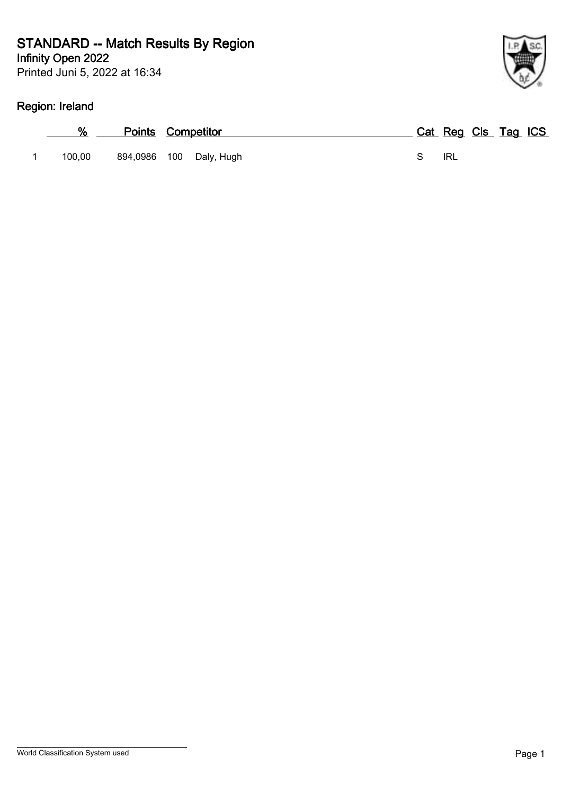### **Infinity Open 2022 STANDARD -- Match Results By Region**

Printed Juni 5, 2022 at 16:34

# **Region: Ireland**

| %      | <b>Points Competitor</b> |                         |  | Cat Reg Cls Tag ICS |  |  |
|--------|--------------------------|-------------------------|--|---------------------|--|--|
| 100.00 |                          | 894,0986 100 Daly, Hugh |  | IRL                 |  |  |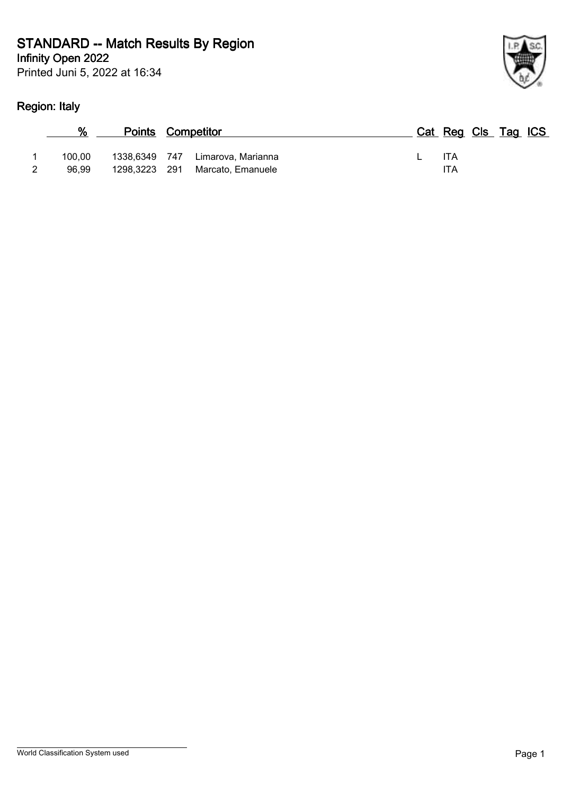### **Infinity Open 2022 STANDARD -- Match Results By Region**

Printed Juni 5, 2022 at 16:34

# **Region: Italy**

| ł |
|---|

|                 | <b>Points Competitor</b> |                                                       |  |                   | Cat Reg Cls Tag ICS |  |
|-----------------|--------------------------|-------------------------------------------------------|--|-------------------|---------------------|--|
| 100.00<br>96.99 | 1298,3223 291            | 1338,6349 747 Limarova, Marianna<br>Marcato, Emanuele |  | <b>ITA</b><br>ITA |                     |  |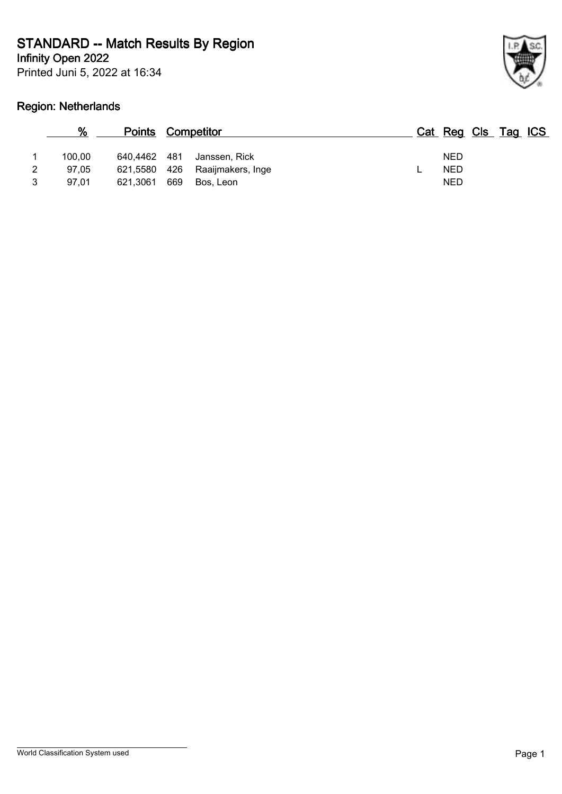**Infinity Open 2022**

Printed Juni 5, 2022 at 16:34

# **Region: Netherlands**



|   | %               |                              | <b>Points Competitor</b>           | Cat Reg Cls Tag ICS      |
|---|-----------------|------------------------------|------------------------------------|--------------------------|
| 2 | 100.00<br>97.05 | 640,4462 481<br>621,5580 426 | Janssen, Rick<br>Raaijmakers, Inge | <b>NED</b><br><b>NED</b> |
| 3 | 97.01           | 621.3061                     | 669<br>Bos. Leon                   | <b>NED</b>               |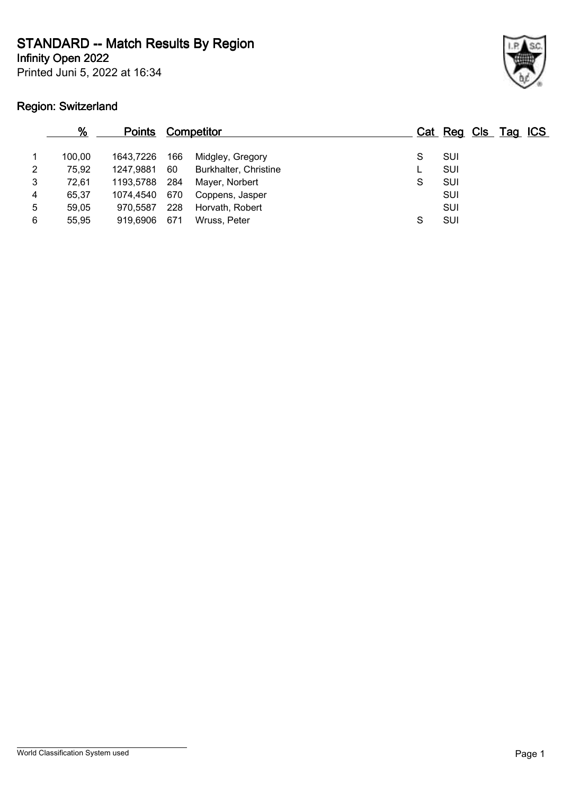**Infinity Open 2022**

Printed Juni 5, 2022 at 16:34

# **Region: Switzerland**



|   | %      | <b>Points</b> |     | <b>Competitor</b>     |   | Cat Reg Cls Tag ICS |  |  |
|---|--------|---------------|-----|-----------------------|---|---------------------|--|--|
|   | 100.00 | 1643,7226     | 166 | Midgley, Gregory      |   | SUI                 |  |  |
| 2 | 75,92  | 1247,9881     | 60  | Burkhalter, Christine |   | SUI                 |  |  |
| 3 | 72,61  | 1193,5788     | 284 | Mayer, Norbert        | S | SUI                 |  |  |
| 4 | 65.37  | 1074.4540     | 670 | Coppens, Jasper       |   | SUI                 |  |  |
| 5 | 59,05  | 970,5587      | 228 | Horvath, Robert       |   | SUI                 |  |  |
| 6 | 55,95  | 919,6906      | 671 | Wruss, Peter          | S | SUI                 |  |  |
|   |        |               |     |                       |   |                     |  |  |